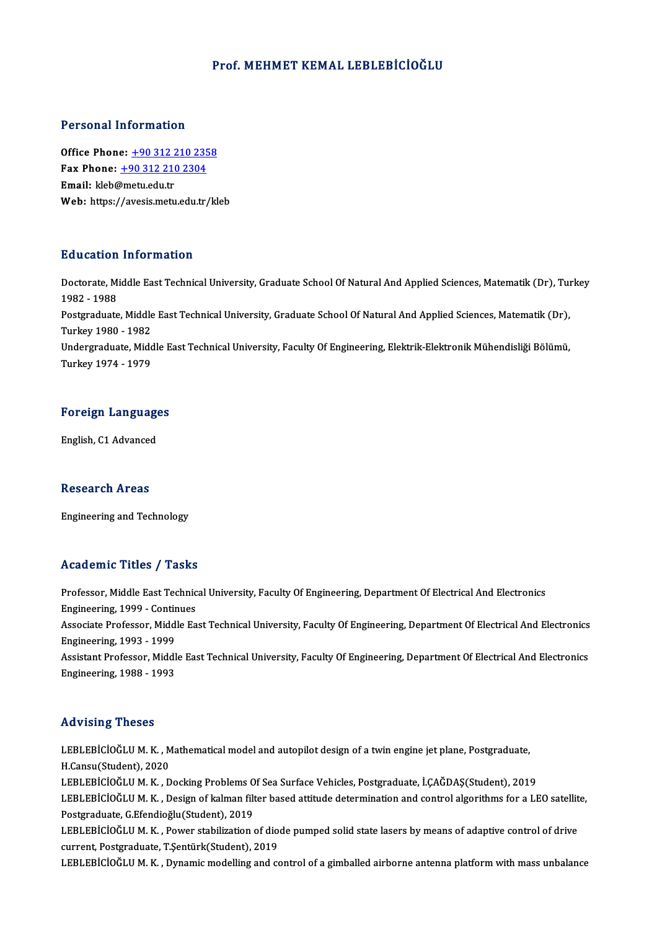#### Prof.MEHMET KEMAL LEBLEBİCİOĞLU

#### Personal Information

Office Phone: +90 312 210 2358 Fax Phone: <u>+90 312 210 235</u><br>Fax Phone: <u>+90 312 210 2304</u><br>Fmail: klob@moty.edu.tr Office Phone: <u>+90 312 2</u><br>Fax Phone: <u>+90 312 210</u><br>Email: kleb@metu.edu.tr Fax Phone: <u>+90 312 210 2304</u><br>Email: kleb@metu.edu.tr<br>Web: https:/[/avesis.metu.edu.tr](tel:+90 312 210 2304)[/kl](tel:+90 312 210 2358)eb

#### Education Information

**Education Information**<br>Doctorate, Middle East Technical University, Graduate School Of Natural And Applied Sciences, Matematik (Dr), Turkey<br>1992 - 1999 2<br>1982 - 1988<br>Postareduate Doctorate, Middle East Technical University, Graduate School Of Natural And Applied Sciences, Matematik (Dr), Tui<br>1982 - 1988<br>Postgraduate, Middle East Technical University, Graduate School Of Natural And Applied Sciences, 1982 - 1988<br>Postgraduate, Middle<br>Turkey 1980 - 1982<br>Undergraduate Mide Postgraduate, Middle East Technical University, Graduate School Of Natural And Applied Sciences, Matematik (Dr),<br>Turkey 1980 - 1982<br>Undergraduate, Middle East Technical University, Faculty Of Engineering, Elektrik-Elektron Turkey 1980 - 1982<br>Undergraduate, Middle East Technical University, Faculty Of Engineering, Elektrik-Elektronik Mühendisliği Bölümü,<br>Turkey 1974 - 1979

# Turkey 1974 - 1979<br>Foreign Languages <mark>Foreign Languag</mark><br>English, C1 Advanced

English, C1 Advanced<br>Research Areas

Engineering and Technology

#### Academic Titles / Tasks

Professor, Middle East Technical University, Faculty Of Engineering, Department Of Electrical And Electronics Professor, Middle East Technic<br>Engineering, 1999 - Continues<br>Assesiste Brofessor, Middle Ea Associate Professor, Middle East Technical University, Faculty Of Engineering, Department Of Electrical And Electronics<br>Engineering, 1993 - 1999 Engineering, 1999 - Contin<br>Associate Professor, Midd<br>Engineering, 1993 - 1999<br>Assistant Professor, Middl Associate Professor, Middle East Technical University, Faculty Of Engineering, Department Of Electrical And Electronics<br>Engineering, 1993 - 1999<br>Assistant Professor, Middle East Technical University, Faculty Of Engineering Engineering, 1993 - 1999<br>Assistant Professor, Middl<br>Engineering, 1988 - 1993 Engineering, 1988 - 1993<br>Advising Theses

LEBLEBİCİOĞLUM.K., Mathematical model and autopilot design of a twin engine jet plane, Postgraduate, H.Cansu(Student),2020 LEBLEBİCİOĞLU M. K. , Mathematical model and autopilot design of a twin engine jet plane, Postgraduate,<br>H.Cansu(Student), 2020<br>LEBLEBİCİOĞLU M. K. , Docking Problems Of Sea Surface Vehicles, Postgraduate, İ.ÇAĞDAŞ(Student) H.Cansu(Student), 2020<br>LEBLEBİCİOĞLU M. K. , Docking Problems Of Sea Surface Vehicles, Postgraduate, İ.ÇAĞDAŞ(Student), 2019<br>LEBLEBİCİOĞLU M. K. , Design of kalman filter based attitude determination and control algorithms LEBLEBİCİOĞLU M. K. , Docking Problems O<br>LEBLEBİCİOĞLU M. K. , Design of kalman filt<br>Postgraduate, G.Efendioğlu(Student), 2019<br>LEBLEBİCİOĞLU M. K. , Rower stabilization LEBLEBİCİOĞLU M. K. , Design of kalman filter based attitude determination and control algorithms for a LEO satellit<br>Postgraduate, G.Efendioğlu(Student), 2019<br>LEBLEBİCİOĞLU M. K. , Power stabilization of diode pumped solid Postgraduate, G.Efendioğlu(Student), 2019<br>LEBLEBİCİOĞLU M. K. , Power stabilization of diode pumped solid state lasers by means of adaptive control of drive<br>current, Postgraduate, T.Şentürk(Student), 2019 LEBLEBİCİOĞLUM.K., Dynamic modelling and control of a gimballed airborne antenna platform with mass unbalance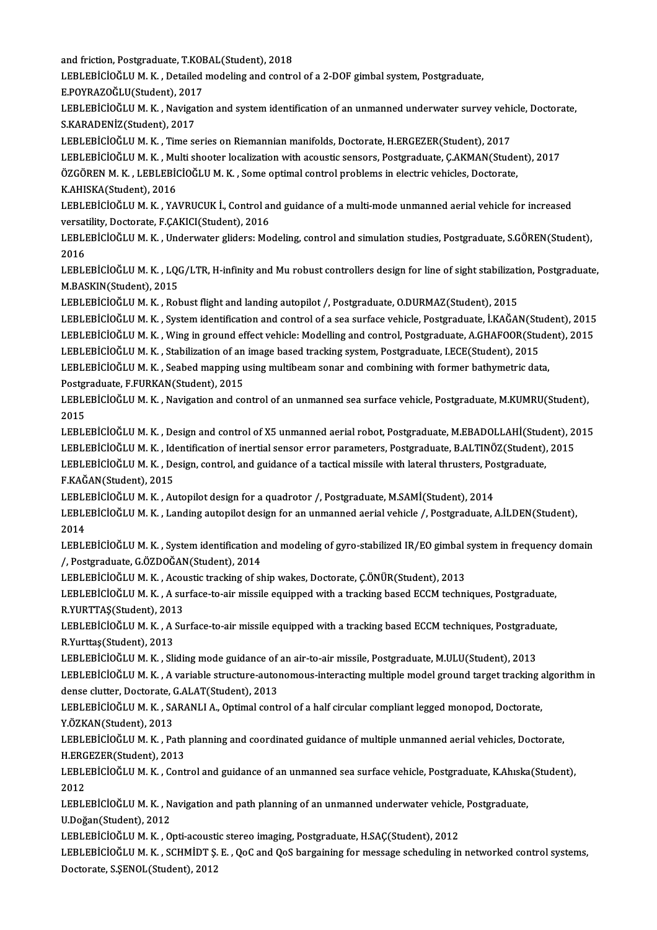and friction, Postgraduate, T.KOBAL(Student), 2018 and friction, Postgraduate, T.KOE<br>LEBLEBİCİOĞLU M. K. , Detailed<br>E.POYRAZOĞLU(Student), 2017<br>LEBLEBİCİOĞLU M. K., Navisatiç

and friction, Postgraduate, T.KOBAL(Student), 2018<br>LEBLEBİCİOĞLU M. K. , Detailed modeling and control of a 2-DOF gimbal system, Postgraduate,<br>E POVRAZOĞLU(Student), 2017

LEBLEBİCİOĞLU M. K. , Detailed modeling and control of a 2-DOF gimbal system, Postgraduate,<br>E.POYRAZOĞLU(Student), 2017<br>LEBLEBİCİOĞLU M. K. , Navigation and system identification of an unmanned underwater survey vehicle, D E.POYRAZOĞLU(Student), 2017<br>LEBLEBİCİOĞLU M. K. , Navigation and system identification of an unmanned underwater survey veh<br>S.KARADENİZ(Student), 2017<br>LEBLEBİCİOĞLU M. K. , Time series on Riemannian manifolds, Doctorate, H LEBLEBİCİOĞLU M. K. , Navigation and system identification of an unmanned underwater survey vehi<br>S.KARADENİZ(Student), 2017<br>LEBLEBİCİOĞLU M. K. , Time series on Riemannian manifolds, Doctorate, H.ERGEZER(Student), 2017<br>LEB

S.KARADENİZ(Student), 2017<br>LEBLEBİCİOĞLU M. K. , Time series on Riemannian manifolds, Doctorate, H.ERGEZER(Student), 2017<br>LEBLEBİCİOĞLU M. K. , Multi shooter localization with acoustic sensors, Postgraduate, Ç.AKMAN(Studen

LEBLEBİCİOĞLU M. K. , Time series on Riemannian manifolds, Doctorate, H.ERGEZER(Student), 2017<br>LEBLEBİCİOĞLU M. K. , Multi shooter localization with acoustic sensors, Postgraduate, Ç.AKMAN(Stude<br>ÖZGÖREN M. K. , LEBLEBİCİOĞ LEBLEBİCİOĞLU M. K. , Mu<br>ÖZGÖREN M. K. , LEBLEBİG<br>K.AHISKA(Student), 2016<br>LEBLEBİCİOĞLU M. K. , XA ÖZGÖREN M. K. , LEBLEBİCİOĞLU M. K. , Some optimal control problems in electric vehicles, Doctorate,<br>K.AHISKA(Student), 2016<br>LEBLEBİCİOĞLU M. K. , YAVRUCUK İ., Control and guidance of a multi-mode unmanned aerial vehicle f

K.AHISKA(Student), 2016<br>LEBLEBİCİOĞLU M. K. , YAVRUCUK İ., Control al<br>versatility, Doctorate, F.ÇAKICI(Student), 2016<br>LEBLERİCİQĞLU M. K., Underwater slidersi Me LEBLEBİCİOĞLU M. K. , YAVRUCUK İ., Control and guidance of a multi-mode unmanned aerial vehicle for increased<br>versatility, Doctorate, F.ÇAKICI(Student), 2016<br>LEBLEBİCİOĞLU M. K. , Underwater gliders: Modeling, control and

versatility, Doctorate, F.ÇAKICI(Student), 2016<br>LEBLEBİCİOĞLU M. K. , Underwater gliders: Modeling, control and simulation studies, Postgraduate, S.GÖREN(Student),<br>2016 LEBLEBİCİOĞLU M. K. , Underwater gliders: Modeling, control and simulation studies, Postgraduate, S.GÖREN(Student),<br>2016<br>LEBLEBİCİOĞLU M. K. , LQG/LTR, H-infinity and Mu robust controllers design for line of sight stabiliz

2016<br>LEBLEBİCİOĞLU M. K. , LQ(<br>M.BASKIN(Student), 2015<br>LEBLEBİCİOĞLU M. K., Pol LEBLEBİCİOĞLU M. K. , LQG/LTR, H-infinity and Mu robust controllers design for line of sight stabilizati<br>M.BASKIN(Student), 2015<br>LEBLEBİCİOĞLU M. K. , Robust flight and landing autopilot /, Postgraduate, O.DURMAZ(Student),

M.BASKIN(Student), 2015<br>LEBLEBİCİOĞLU M. K. , Robust flight and landing autopilot /, Postgraduate, O.DURMAZ(Student), 2015<br>LEBLEBİCİOĞLU M. K. , System identification and control of a sea surface vehicle, Postgraduate, İ.K LEBLEBİCİOĞLU M. K. , Robust flight and landing autopilot /, Postgraduate, O.DURMAZ(Student), 2015<br>LEBLEBİCİOĞLU M. K. , System identification and control of a sea surface vehicle, Postgraduate, İ.KAĞAN(Student), 2015<br>LEBL LEBLEBİCİOĞLU M. K. , System identification and control of a sea surface vehicle, Postgraduate, İ.KAĞAN(Stu<br>LEBLEBİCİOĞLU M. K. , Wing in ground effect vehicle: Modelling and control, Postgraduate, A.GHAFOOR(Stu<br>LEBLEBİCİO LEBLEBİCİOĞLU M. K. , Wing in ground effect vehicle: Modelling and control, Postgraduate, A.GHAFOOR(Stude<br>LEBLEBİCİOĞLU M. K. , Stabilization of an image based tracking system, Postgraduate, I.ECE(Student), 2015<br>LEBLEBİCİO

LEBLEBİCİOĞLU M. K. , Stabilization of an<br>LEBLEBİCİOĞLU M. K. , Seabed mapping u<br>Postgraduate, F.FURKAN(Student), 2015<br>LEBLEBİCİOĞLU M. K. - Navigation and 60 Postgraduate, F.FURKAN(Student), 2015

LEBLEBİCİOĞLU M. K. , Seabed mapping using multibeam sonar and combining with former bathymetric data,<br>Postgraduate, F.FURKAN(Student), 2015<br>LEBLEBİCİOĞLU M. K. , Navigation and control of an unmanned sea surface vehicle, LEBLEBİCİOĞLU M. K. , Navigation and control of an unmanned sea surface vehicle, Postgraduate, M.KUMRU(Student),<br>2015<br>LEBLEBİCİOĞLU M. K. , Design and control of X5 unmanned aerial robot, Postgraduate, M.EBADOLLAHİ(Student

2015<br>LEBLEBİCİOĞLU M. K. , Design and control of X5 unmanned aerial robot, Postgraduate, M.EBADOLLAHİ(Student), 20<br>LEBLEBİCİOĞLU M. K. , Identification of inertial sensor error parameters, Postgraduate, B.ALTINÖZ(Student), LEBLEBİCİOĞLU M. K. , Design and control of X5 unmanned aerial robot, Postgraduate, M.EBADOLLAHİ(Stud<br>LEBLEBİCİOĞLU M. K. , Identification of inertial sensor error parameters, Postgraduate, B.ALTINÖZ(Student),<br>LEBLEBİCİOĞL LEBLEBİCİOĞLU M. K. , Identification of inertial sensor error parameters, Postgraduate, B.ALTINÖZ(Student), 2015<br>LEBLEBİCİOĞLU M. K. , Design, control, and guidance of a tactical missile with lateral thrusters, Postgraduat LEBLEBİCİOĞLU M.K., Design, control, and guidance of a tactical missile with lateral thrusters, Postgraduate,

F.KAĞAN(Student), 2015<br>LEBLEBİCİOĞLU M. K. , Autopilot design for a quadrotor /, Postgraduate, M.SAMİ(Student), 2014<br>LEBLEBİCİOĞLU M. K. , Landing autopilot design for an unmanned aerial vehicle /, Postgraduate, A.İLDEN(St LEBLI<br>LEBLI<br>2014<br>LEPLI LEBLEBİCİOĞLU M. K. , Landing autopilot design for an unmanned aerial vehicle /, Postgraduate, A.İLDEN(Student),<br>2014<br>LEBLEBİCİOĞLU M. K. , System identification and modeling of gyro-stabilized IR/EO gimbal system in frequ

2014<br>LEBLEBİCİOĞLU M. K. , System identification and modeling of gyro-stabilized IR/EO gimbal system in frequency domain<br>/, Postgraduate, G.ÖZDOĞAN(Student), 2014 LEBLEBİCİOĞLU M. K. , System identification and modeling of gyro-stabilized IR/EO gimbal :<br>/, Postgraduate, G.ÖZDOĞAN(Student), 2014<br>LEBLEBİCİOĞLU M. K. , Acoustic tracking of ship wakes, Doctorate, Ç.ÖNÜR(Student), 2013<br>L

/, Postgraduate, G.ÖZDOĞAN(Student), 2014<br>LEBLEBİCİOĞLU M. K. , Acoustic tracking of ship wakes, Doctorate, Ç.ÖNÜR(Student), 2013<br>LEBLEBİCİOĞLU M. K. , A surface-to-air missile equipped with a tracking based ECCM technique LEBLEBİCİOĞLU M. K. , Acou<br>LEBLEBİCİOĞLU M. K. , A su:<br>R.YURTTAŞ(Student), 2013<br>LEBLEBİCİOĞLU M. K. , A S.. LEBLEBİCİOĞLU M. K. , A surface-to-air missile equipped with a tracking based ECCM techniques, Postgraduate,<br>R.YURTTAŞ(Student), 2013<br>LEBLEBİCİOĞLU M. K. , A Surface-to-air missile equipped with a tracking based ECCM techn

R.YURTTAŞ(Student), 2013<br>LEBLEBİCİOĞLU M. K. , A Surface-to-air missile equipped with a tracking based ECCM techniques, Postgraduate,<br>R.Yurttaş(Student), 2013 LEBLEBİCİOĞLU M. K. , A Surface-to-air missile equipped with a tracking based ECCM techniques, Postgradu<br>R.Yurttaş(Student), 2013<br>LEBLEBİCİOĞLU M. K. , Sliding mode guidance of an air-to-air missile, Postgraduate, M.ULU(St

LEBLEBİCİOĞLU M. K. , A variable structure-autonomous-interacting multiple model ground target tracking algorithm in<br>dense clutter, Doctorate, G.ALAT(Student), 2013 LEBLEBİCİOĞLU M. K. , Sliding mode guidance of<br>LEBLEBİCİOĞLU M. K. , A variable structure-autor<br>dense clutter, Doctorate, G.ALAT(Student), 2013<br>LEBLEBİCİOĞLU M. K. SABANLLA, Ontimal santı LEBLEBİCİOĞLU M. K. , A variable structure-autonomous-interacting multiple model ground target tracking and th<br>dense clutter, Doctorate, G.ALAT(Student), 2013<br>LEBLEBİCİOĞLU M. K. , SARANLI A., Optimal control of a half cir

dense clutter, Doctorate, (<br>LEBLEBİCİOĞLU M. K. , SA<br>Y.ÖZKAN(Student), 2013<br>LEBLEBİCİOĞLU M. K. , Ba LEBLEBİCİOĞLU M. K. , SARANLI A., Optimal control of a half circular compliant legged monopod, Doctorate,<br>Y.ÖZKAN(Student), 2013<br>LEBLEBİCİOĞLU M. K. , Path planning and coordinated guidance of multiple unmanned aerial vehi

Y.ÖZKAN(Student), 2013<br>LEBLEBİCİOĞLU M. K. , Path planning and coordinated guidance of multiple unmanned aerial vehicles, Doctorate,<br>H.ERGEZER(Student), 2013

LEBLEBİCİOĞLU M. K. , Path planning and coordinated guidance of multiple unmanned aerial vehicles, Doctorate,<br>H.ERGEZER(Student), 2013<br>LEBLEBİCİOĞLU M. K. , Control and guidance of an unmanned sea surface vehicle, Postgrad H.ERG<br>LEBLI<br>2012<br>LEBLI LEBLEBİCİOĞLU M. K. , Control and guidance of an unmanned sea surface vehicle, Postgraduate, K.Ahıska<br>2012<br>LEBLEBİCİOĞLU M. K. , Navigation and path planning of an unmanned underwater vehicle, Postgraduate,<br>U.Değan(Student

2012<br>LEBLEBİCİOĞLU M. K. , Navigation and path planning of an unmanned underwater vehicle, Postgraduate,<br>U.Doğan(Student), 2012 LEBLEBİCİOĞLU M. K. , Navigation and path planning of an unmanned underwater vehicle<br>U.Doğan(Student), 2012<br>LEBLEBİCİOĞLU M. K. , Opti-acoustic stereo imaging, Postgraduate, H.SAÇ(Student), 2012<br>LEBLEBİCİOĞLU M. K. , Opti-

LEBLEBİCİOĞLU M. K., SCHMİDT Ş. E., QoC and QoS bargaining for message scheduling in networked control systems,<br>Doctorate, S.ŞENOL(Student), 2012 LEBLEBİCİOĞLU M. K. , Opti-acousti<br>LEBLEBİCİOĞLU M. K. , SCHMİDT Ş.<br>Doctorate, S.ŞENOL(Student), 2012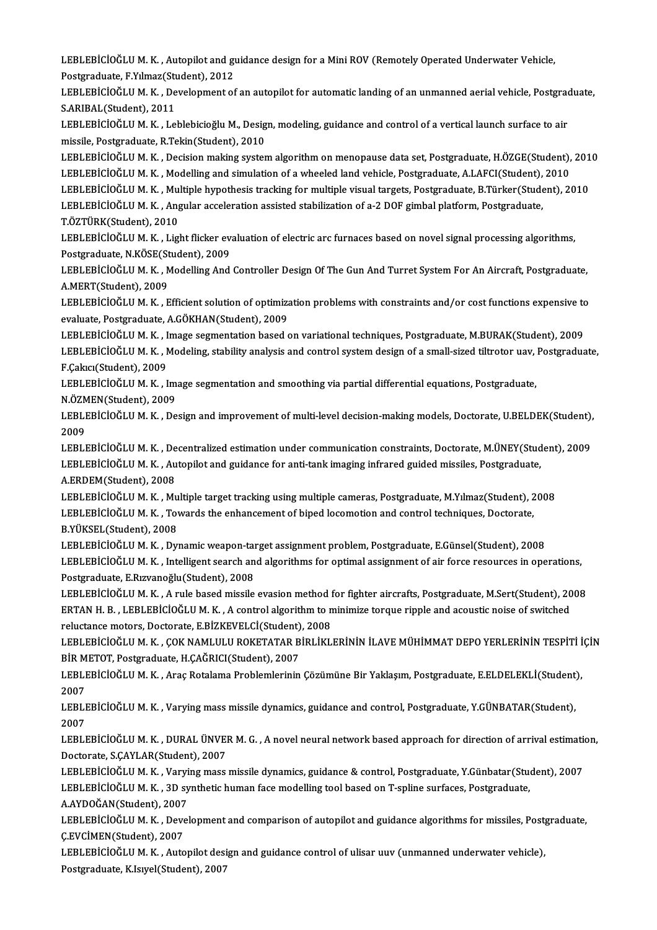LEBLEBİCİOĞLU M. K. , Autopilot and guidance design for a Mini ROV (Remotely Operated Underwater Vehicle,<br>Postanaduata, E.V.Umeg(Student), 2012 LEBLEBİCİOĞLU M. K. , Autopilot and gı<br>Postgraduate, F.Yılmaz(Student), 2012<br>LEBLERLÖQÖLU M. K. , Davalanmant af LEBLEBİCİOĞLU M. K. , Autopilot and guidance design for a Mini ROV (Remotely Operated Underwater Vehicle,<br>Postgraduate, F.Yılmaz(Student), 2012<br>LEBLEBİCİOĞLU M. K. , Development of an autopilot for automatic landing of an Postgraduate, F.Yılmaz(Student)<br>LEBLEBİCİOĞLU M. K. , De<br>S.ARIBAL(Student), 2011<br>LEBLEBİCİOĞLU M. K. Le LEBLEBİCİOĞLU M. K. , Development of an autopilot for automatic landing of an unmanned aerial vehicle, Postgrad<br>S.ARIBAL(Student), 2011<br>LEBLEBİCİOĞLU M. K. , Leblebicioğlu M., Design, modeling, guidance and control of a ve S.ARIBAL(Student), 2011<br>LEBLEBİCİOĞLU M. K. , Leblebicioğlu M., Design, modeling, guidance and control of a vertical launch surface to air<br>missile, Postgraduate, R.Tekin(Student), 2010 LEBLEBİCİOĞLU M. K. , Leblebicioğlu M., Design, modeling, guidance and control of a vertical launch surface to air<br>missile, Postgraduate, R.Tekin(Student), 2010<br>LEBLEBİCİOĞLU M. K. , Decision making system algorithm on men missile, Postgraduate, R.Tekin(Student), 2010<br>LEBLEBİCİOĞLU M. K. , Decision making system algorithm on menopause data set, Postgraduate, H.ÖZGE(Student),<br>LEBLEBİCİOĞLU M. K. , Modelling and simulation of a wheeled land ve LEBLEBİCİOĞLU M. K. , Decision making system algorithm on menopause data set, Postgraduate, H.ÖZGE(Student), 201<br>LEBLEBİCİOĞLU M. K. , Modelling and simulation of a wheeled land vehicle, Postgraduate, A.LAFCI(Student), 201 LEBLEBİCİOĞLU M. K. , Modelling and simulation of a wheeled land vehicle, Postgraduate, A.LAFCI(Student),<br>LEBLEBİCİOĞLU M. K. , Multiple hypothesis tracking for multiple visual targets, Postgraduate, B.Türker(Stude<br>LEBLEBİ LEBLEBİCİOĞLU M. K. , Mu<br>LEBLEBİCİOĞLU M. K. , Ang<br>T.ÖZTÜRK(Student), 2010<br>LEBLEBİCİOĞLU M. K. , Liz LEBLEBİCİOĞLU M. K. , Angular acceleration assisted stabilization of a-2 DOF gimbal platform, Postgraduate,<br>T.ÖZTÜRK(Student), 2010<br>LEBLEBİCİOĞLU M. K. , Light flicker evaluation of electric arc furnaces based on novel sig

T.ÖZTÜRK(Student), 2010<br>LEBLEBİCİOĞLU M. K. , Light flicker evaluation of electric arc furnaces based on novel signal processing algorithms,<br>Postgraduate, N.KÖSE(Student), 2009 LEBLEBİCİOĞLU M. K. , Light flicker evaluation of electric arc furnaces based on novel signal processing algorithms,<br>Postgraduate, N.KÖSE(Student), 2009<br>LEBLEBİCİOĞLU M. K. , Modelling And Controller Design Of The Gun And

Postgraduate, N.KÖSE(St<br>LEBLEBİCİOĞLU M. K. , N<br>A.MERT(Student), 2009<br>LEBLEBİCİOĞLU M. K. , E LEBLEBİCİOĞLU M. K. , Modelling And Controller Design Of The Gun And Turret System For An Aircraft, Postgraduate,<br>A.MERT(Student), 2009<br>LEBLEBİCİOĞLU M. K. , Efficient solution of optimization problems with constraints and

A.MERT(Student), 2009<br>LEBLEBİCİOĞLU M. K. , Efficient solution of optimizz<br>evaluate, Postgraduate, A.GÖKHAN(Student), 2009<br>LEBLERİCİOĞLU M. K., İmage segmentation based 4 LEBLEBİCİOĞLU M. K. , Efficient solution of optimization problems with constraints and/or cost functions expensive to<br>evaluate, Postgraduate, A.GÖKHAN(Student), 2009<br>LEBLEBİCİOĞLU M. K. , Image segmentation based on variat

evaluate, Postgraduate, A.GÖKHAN(Student), 2009<br>LEBLEBİCİOĞLU M. K. , Image segmentation based on variational techniques, Postgraduate, M.BURAK(Student), 2009<br>LEBLEBİCİOĞLU M. K. , Modeling, stability analysis and control LEBLEBİCİOĞLU M. K. , I<br>LEBLEBİCİOĞLU M. K. , I<br>F.Çakıcı(Student), 2009<br>LEBLEBİCİOĞLU M. K. , I LEBLEBİCİOĞLU M. K. , Modeling, stability analysis and control system design of a small-sized tiltrotor uav,<br>F.Çakıcı(Student), 2009<br>LEBLEBİCİOĞLU M. K. , Image segmentation and smoothing via partial differential equations

F.Çakıcı(Student), 2009<br>LEBLEBİCİOĞLU M. K. , Image segmentation and smoothing via partial differential equations, Postgraduate,<br>N.ÖZMEN(Student), 2009 LEBLEBİCİOĞLU M. K. , Image segmentation and smoothing via partial differential equations, Postgraduate,<br>N.ÖZMEN(Student), 2009<br>LEBLEBİCİOĞLU M. K. , Design and improvement of multi-level decision-making models, Doctorate,

N ÖZM<br>LEBLI<br>2009<br>LEPLI LEBLEBİCİOĞLU M. K. , Design and improvement of multi-level decision-making models, Doctorate, U.BELDEK(Student),<br>2009<br>LEBLEBİCİOĞLU M. K. , Decentralized estimation under communication constraints, Doctorate, M.ÜNEY(Stude

2009<br>LEBLEBİCİOĞLU M. K. , Decentralized estimation under communication constraints, Doctorate, M.ÜNEY(Student), 2009<br>LEBLEBİCİOĞLU M. K. , Autopilot and guidance for anti-tank imaging infrared guided missiles, Postgraduat A.ERDEM(Student),2008

LEBLEBİCİOĞLUM.K., Multiple target tracking using multiple cameras, Postgraduate, M.Yılmaz(Student), 2008 A.ERDEM(Student), 2008<br>LEBLEBİCİOĞLU M. K. , Multiple target tracking using multiple cameras, Postgraduate, M.Yılmaz(Student), 2<br>LEBLEBİCİOĞLU M. K. , Towards the enhancement of biped locomotion and control techniques, Doc LEBLEBİCİOĞLU M. K. , Mu<br>LEBLEBİCİOĞLU M. K. , Tov<br>B.YÜKSEL(Student), 2008<br>LEBLEBİCİOĞLU M. K. , Dyr LEBLEBİCİOĞLU M. K. , Towards the enhancement of biped locomotion and control techniques, Doctorate,<br>B.YÜKSEL(Student), 2008<br>LEBLEBİCİOĞLU M. K. , Dynamic weapon-target assignment problem, Postgraduate, E.Günsel(Student),

B.YÜKSEL(Student), 2008<br>LEBLEBİCİOĞLU M. K. , Dynamic weapon-target assignment problem, Postgraduate, E.Günsel(Student), 2008<br>LEBLEBİCİOĞLU M. K. , Intelligent search and algorithms for optimal assignment of air force reso Postgraduate,E.Rızvanoğlu(Student),2008 LEBLEBİCİOĞLU M. K. , Intelligent search and algorithms for optimal assignment of air force resources in operations,<br>Postgraduate, E.Rızvanoğlu(Student), 2008<br>LEBLEBİCİOĞLU M. K. , A rule based missile evasion method for f

Postgraduate, E.Rızvanoğlu(Student), 2008<br>LEBLEBİCİOĞLU M. K. , A rule based missile evasion method for fighter aircrafts, Postgraduate, M.Sert(Student), 20<br>ERTAN H. B. , LEBLEBİCİOĞLU M. K. , A control algorithm to minimi LEBLEBİCİOĞLU M. K. , A rule based missile evasion method f<br>ERTAN H. B. , LEBLEBİCİOĞLU M. K. , A control algorithm to n<br>reluctance motors, Doctorate, E.BİZKEVELCİ(Student), 2008<br>LEBLEBİCİOĞLU M. K., GOK NAMLULU ROKETATAR ERTAN H. B. , LEBLEBİCİOĞLU M. K. , A control algorithm to minimize torque ripple and acoustic noise of switched<br>reluctance motors, Doctorate, E.BİZKEVELCİ(Student), 2008<br>LEBLEBİCİOĞLU M. K. , ÇOK NAMLULU ROKETATAR BİRLİKL

reluctance motors, Doctorate, E.BİZKEVELCİ(Student)<br>LEBLEBİCİOĞLU M. K. , ÇOK NAMLULU ROKETATAR B<br>BİR METOT, Postgraduate, H.ÇAĞRICI(Student), 2007<br>LEBLEBİCİOĞLU M. K., Aras Batalama Problamlarinin LEBLEBİCİOĞLU M. K. , ÇOK NAMLULU ROKETATAR BİRLİKLERİNİN İLAVE MÜHİMMAT DEPO YERLERİNİN TESPİTİ İ<br>BİR METOT, Postgraduate, H.ÇAĞRICI(Student), 2007<br>LEBLEBİCİOĞLU M. K. , Araç Rotalama Problemlerinin Çözümüne Bir Yaklaşım,

BİR METOT, Postgraduate, H.ÇAĞRICI(Student), 2007<br>LEBLEBİCİOĞLU M. K. , Araç Rotalama Problemlerinin Çözümüne Bir Yaklaşım, Postgraduate, E.ELDELEKLİ(Student),<br>2007 LEBLEBİCİOĞLU M. K. , Araç Rotalama Problemlerinin Çözümüne Bir Yaklaşım, Postgraduate, E.ELDELEKLİ(Student)<br>2007<br>LEBLEBİCİOĞLU M. K. , Varying mass missile dynamics, guidance and control, Postgraduate, Y.GÜNBATAR(Student)

2007<br>LEBLI<br>2007<br>LEBLI LEBLEBİCİOĞLU M. K. , Varying mass missile dynamics, guidance and control, Postgraduate, Y.GÜNBATAR(Student),<br>2007<br>LEBLEBİCİOĞLU M. K. , DURAL ÜNVER M. G. , A novel neural network based approach for direction of arrival es

2007<br>LEBLEBİCİOĞLU M. K. , DURAL ÜNVEI<br>Doctorate, S.ÇAYLAR(Student), 2007<br>LEBLEBİCİOĞLU M. K., Varuna mass LEBLEBİCİOĞLU M. K. , DURAL ÜNVER M. G. , A novel neural network based approach for direction of arrival estimation<br>Doctorate, S.ÇAYLAR(Student), 2007<br>LEBLEBİCİOĞLU M. K. , Varying mass missile dynamics, guidance & control

Doctorate, S.ÇAYLAR(Student), 2007<br>LEBLEBİCİOĞLU M. K. , Varying mass missile dynamics, guidance & control, Postgraduate, Y.Günbatar(Student), 2007<br>LEBLEBİCİOĞLU M. K. , 3D synthetic human face modelling tool based on T-sp LEBLEBİCİOĞLU M. K. , Varyi<br>LEBLEBİCİOĞLU M. K. , 3D sy<br>A.AYDOĞAN(Student), 2007<br>LEBLEBİCİOĞLU M. K. , Daval LEBLEBİCİOĞLU M. K. , 3D synthetic human face modelling tool based on T-spline surfaces, Postgraduate,<br>A.AYDOĞAN(Student), 2007<br>LEBLEBİCİOĞLU M. K. , Development and comparison of autopilot and guidance algorithms for miss

A.AYDOĞAN(Student), 2007<br>LEBLEBİCİOĞLU M. K. , Deve<br>Ç.EVCİMEN(Student), 2007<br>LEBLEBİCİOĞLU M. K. , Auto LEBLEBİCİOĞLU M. K. , Development and comparison of autopilot and guidance algorithms for missiles, Post<sub>i</sub><br>Ç.EVCİMEN(Student), 2007<br>LEBLEBİCİOĞLU M. K. , Autopilot design and guidance control of ulisar uuv (unmanned under

Ç.EVCİMEN(Student), 2007<br>LEBLEBİCİOĞLU M. K. , Autopilot design and guidance control of ulisar uuv (unmanned underwater vehicle),<br>Postgraduate, K.Isıyel(Student), 2007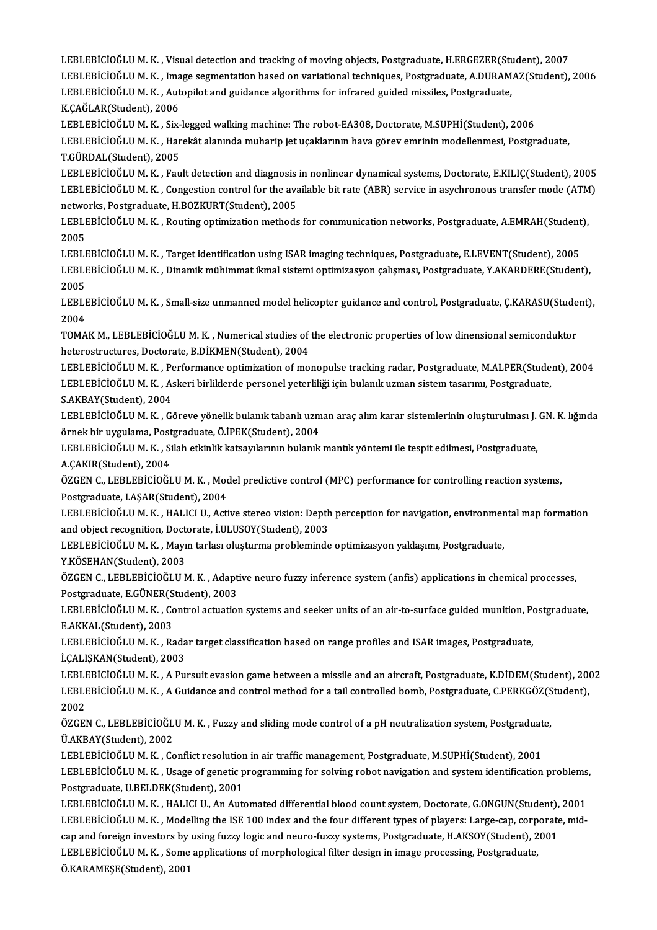LEBLEBİCİOĞLU M. K. , Visual detection and tracking of moving objects, Postgraduate, H.ERGEZER(Student), 2007<br>LEBLEBİCİOĞLU M. K. , Visual detection and tracking of moving objects, Postgraduate, H.ERGEZER(Student), 2007 LEBLEBİCİOĞLU M. K. , Visual detection and tracking of moving objects, Postgraduate, H.ERGEZER(Student), 2007<br>LEBLEBİCİOĞLU M. K. , Image segmentation based on variational techniques, Postgraduate, A.DURAMAZ(Student), 2006 LEBLEBİCİOĞLU M. K. , Visual detection and tracking of moving objects, Postgraduate, H.ERGEZER(St.<br>LEBLEBİCİOĞLU M. K. , Image segmentation based on variational techniques, Postgraduate, A.DURAM.<br>LEBLEBİCİOĞLU M. K. , Auto LEBLEBİCİOĞLU M. K. , Ima<br>LEBLEBİCİOĞLU M. K. , Aut<br>K.ÇAĞLAR(Student), 2006<br>LEBLEBİCİOĞLU M. K. Siv

LEBLEBİCİOĞLU M. K. , Autopilot and guidance algorithms for infrared guided missiles, Postgraduate,<br>K.ÇAĞLAR(Student), 2006<br>LEBLEBİCİOĞLU M. K. , Six-legged walking machine: The robot-EA308, Doctorate, M.SUPHİ(Student), 20 K.ÇAĞLAR(Student), 2006<br>LEBLEBİCİOĞLU M. K. , Six-legged walking machine: The robot-EA308, Doctorate, M.SUPHİ(Student), 2006<br>LEBLEBİCİOĞLU M. K. , Harekât alanında muharip jet uçaklarının hava görev emrinin modellenmesi, P LEBLEBİCİOĞLU M. K. , Six-legged walking machine: The robot-EA308, Doctorate, M.SUPHİ(Student), 2006<br>LEBLEBİCİOĞLU M. K. , Harekât alanında muharip jet uçaklarının hava görev emrinin modellenmesi, Postgraduate,<br>T.GÜRDAL(St LEBLEBİCİOĞLU M. K. , Harekât alanında muharip jet uçaklarının hava görev emrinin modellenmesi, Postgraduate,<br>T.GÜRDAL(Student), 2005<br>LEBLEBİCİOĞLU M. K. , Fault detection and diagnosis in nonlinear dynamical systems, Doct

T.GÜRDAL(Student), 2005<br>LEBLEBİCİOĞLU M. K. , Fault detection and diagnosis in nonlinear dynamical systems, Doctorate, E.KILIÇ(Student), 2005<br>LEBLEBİCİOĞLU M. K. , Congestion control for the available bit rate (ABR) servic LEBLEBİCİOĞLU M. K. , Fault detection and diagnosis<br>LEBLEBİCİOĞLU M. K. , Congestion control for the avanetworks, Postgraduate, H.BOZKURT(Student), 2005<br>LEBLEBİCİOĞLU M. K. - Bouting ontimization methoda LEBLEBİCİOĞLU M. K. , Congestion control for the available bit rate (ABR) service in asychronous transfer mode (ATM<br>networks, Postgraduate, H.BOZKURT(Student), 2005<br>LEBLEBİCİOĞLU M. K. , Routing optimization methods for co

networks, Postgraduate, H.BOZKURT(Student), 2005<br>LEBLEBİCİOĞLU M. K. , Routing optimization methods for communication networks, Postgraduate, A.EMRAH(Student<br>2005<br>LEBLEBİCİOĞLU M. K. , Target identification using ISAR imag LEBLEBİCİOĞLUM.K., Routing optimization methods for communication networks, Postgraduate, A.EMRAH(Student),

2005<br>LEBLEBİCİOĞLU M. K. , Target identification using ISAR imaging techniques, Postgraduate, E.LEVENT(Student), 2005<br>LEBLEBİCİOĞLU M. K. , Dinamik mühimmat ikmal sistemi optimizasyon çalışması, Postgraduate, Y.AKARDERE(St LEBLI<br>LEBLI<br>2005<br>LEBLI LEBLEBİCİOĞLU M. K. , Dinamik mühimmat ikmal sistemi optimizasyon çalışması, Postgraduate, Y.AKARDERE(Student),<br>2005<br>LEBLEBİCİOĞLU M. K. , Small-size unmanned model helicopter guidance and control, Postgraduate, Ç.KARASU(S

2005<br>LEBLI<br>2004<br>TOMA LEBLEBİCİOĞLU M. K. , Small-size unmanned model helicopter guidance and control, Postgraduate, Ç.KARASU(Stude<br>2004<br>TOMAK M., LEBLEBİCİOĞLU M. K. , Numerical studies of the electronic properties of low dinensional semicondu

2004<br>TOMAK M., LEBLEBİCİOĞLU M. K. , Numerical studies of the electronic properties of low dinensional semiconduktor<br>heterostructures, Doctorate, B.DİKMEN(Student), 2004 TOMAK M., LEBLEBİCİOĞLU M. K. , Numerical studies of the electronic properties of low dinensional semiconduktor<br>heterostructures, Doctorate, B.DİKMEN(Student), 2004<br>LEBLEBİCİOĞLU M. K. , Performance optimization of monopul

heterostructures, Doctorate, B.DİKMEN(Student), 2004<br>LEBLEBİCİOĞLU M. K. , Performance optimization of monopulse tracking radar, Postgraduate, M.ALPER(Stude<br>LEBLEBİCİOĞLU M. K. , Askeri birliklerde personel yeterliliği içi LEBLEBİCİOĞLU M. K. , Pe<br>LEBLEBİCİOĞLU M. K. , A.<br>S.AKBAY(Student), 2004<br>LEBLEBİCİOĞLU M. K. . G. LEBLEBİCİOĞLU M. K. , Askeri birliklerde personel yeterliliği için bulanık uzman sistem tasarımı, Postgraduate,<br>S.AKBAY(Student), 2004<br>LEBLEBİCİOĞLU M. K. , Göreve yönelik bulanık tabanlı uzman araç alım karar sistemlerini

S.AKBAY(Student), 2004<br>LEBLEBİCİOĞLU M. K. , Göreve yönelik bulanık tabanlı uzm<br>örnek bir uygulama, Postgraduate, Ö.İPEK(Student), 2004<br>LERLERİCİOĞLU M. K., Silab etkinlik kateavılarının bulanık LEBLEBİCİOĞLU M. K. , Göreve yönelik bulanık tabanlı uzman araç alım karar sistemlerinin oluşturulması J.<br>örnek bir uygulama, Postgraduate, Ö.İPEK(Student), 2004<br>LEBLEBİCİOĞLU M. K. , Silah etkinlik katsayılarının bulanık

örnek bir uygulama, Postgraduate, Ö.İPEK(Student), 2004<br>LEBLEBİCİOĞLU M. K. , Silah etkinlik katsayılarının bulanık mantık yöntemi ile tespit edilmesi, Postgraduate,<br>A.ÇAKIR(Student), 2004

LEBLEBİCİOĞLU M. K. , Silah etkinlik katsayılarının bulanık mantık yöntemi ile tespit edilmesi, Postgraduate,<br>A.ÇAKIR(Student), 2004<br>ÖZGEN C., LEBLEBİCİOĞLU M. K. , Model predictive control (MPC) performance for controllin A.ÇAKIR(Student), 2004<br>ÖZGEN C., LEBLEBİCİOĞLU M. K. , Moo<br>Postgraduate, I.AŞAR(Student), 2004<br>LEBLERİCİOĞLU M. K. , HALICLU. AGİ ÖZGEN C., LEBLEBİCİOĞLU M. K. , Model predictive control (MPC) performance for controlling reaction systems,<br>Postgraduate, I.AŞAR(Student), 2004<br>LEBLEBİCİOĞLU M. K. , HALICI U., Active stereo vision: Depth perception for n

Postgraduate, I.AŞAR(Student), 2004<br>LEBLEBİCİOĞLU M. K. , HALICI U., Active stereo vision: Depth<br>and object recognition, Doctorate, İ.ULUSOY(Student), 2003<br>LEBLEBİCİOĞLU M. K., Mayın tarkay olusturma problaminde LEBLEBİCİOĞLU M. K. , HALICI U., Active stereo vision: Depth perception for navigation, environmer<br>and object recognition, Doctorate, İ.ULUSOY(Student), 2003<br>LEBLEBİCİOĞLU M. K. , Mayın tarlası oluşturma probleminde optimi

and object recognition, Doctorate, İ.ULUSOY(Student), 2003<br>LEBLEBİCİOĞLU M. K. , Mayın tarlası oluşturma probleminde optimizasyon yaklaşımı, Postgraduate,<br>Y.KÖSEHAN(Student), 2003

LEBLEBİCİOĞLU M. K. , Mayın tarlası oluşturma probleminde optimizasyon yaklaşımı, Postgraduate,<br>Y.KÖSEHAN(Student), 2003<br>ÖZGEN C., LEBLEBİCİOĞLU M. K. , Adaptive neuro fuzzy inference system (anfis) applications in chemica Y.KÖSEHAN(Student), 2003<br>ÖZGEN C., LEBLEBİCİOĞLU M. K. , Adapt<br>Postgraduate, E.GÜNER(Student), 2003<br>LEBLEBİCİOĞLU M. K., Cantral astustiol ÖZGEN C., LEBLEBİCİOĞLU M. K. , Adaptive neuro fuzzy inference system (anfis) applications in chemical processes,<br>Postgraduate, E.GÜNER(Student), 2003<br>LEBLEBİCİOĞLU M. K. , Control actuation systems and seeker units of an

Postgraduate, E.GÜNER(S<br>LEBLEBİCİOĞLU M. K. , Co<br>E.AKKAL(Student), 2003<br>LEBLEBİCİOĞLU M. K. , R. LEBLEBİCİOĞLU M. K. , Control actuation systems and seeker units of an air-to-surface guided munition, Po<br>E.AKKAL(Student), 2003<br>LEBLEBİCİOĞLU M. K. , Radar target classification based on range profiles and ISAR images, Po

E.AKKAL(Student), 2003<br>LEBLEBİCİOĞLU M. K. , Radar target classification based on range profiles and ISAR images, Postgraduate,<br>İ.ÇALIŞKAN(Student), 2003 LEBLEBİCİOĞLU M. K. , Radar target classification based on range profiles and ISAR images, Postgraduate,<br>İ.ÇALIŞKAN(Student), 2003<br>LEBLEBİCİOĞLU M. K. , A Pursuit evasion game between a missile and an aircraft, Postgraduat

İ.ÇALIŞKAN(Student), 2003<br>LEBLEBİCİOĞLU M. K. , A Pursuit evasion game between a missile and an aircraft, Postgraduate, K.DİDEM(Student), 20<br>LEBLEBİCİOĞLU M. K. , A Guidance and control method for a tail controlled bomb, P LEBLI<br>LEBLI<br>2002<br>ÖZCEL LEBLEBİCİOĞLU M. K. , A Guidance and control method for a tail controlled bomb, Postgraduate, C.PERKGÖZ(S<br>2002<br>ÖZGEN C., LEBLEBİCİOĞLU M. K. , Fuzzy and sliding mode control of a pH neutralization system, Postgraduate,<br>Ü A

2002<br>ÖZGEN C., LEBLEBİCİOĞL<br>Ü.AKBAY(Student), 2002<br>LEBLERİCİOĞLU M. K., Ca ÖZGEN C., LEBLEBİCİOĞLU M. K. , Fuzzy and sliding mode control of a pH neutralization system, Postgraduat<br>Ü.AKBAY(Student), 2002<br>LEBLEBİCİOĞLU M. K. , Conflict resolution in air traffic management, Postgraduate, M.SUPHİ(St

LEBLEBİCİOĞLU M. K., Conflict resolution in air traffic management, Postgraduate, M.SUPHİ(Student), 2001

Ü.AKBAY(Student), 2002<br>LEBLEBİCİOĞLU M. K. , Conflict resolution in air traffic management, Postgraduate, M.SUPHİ(Student), 2001<br>LEBLEBİCİOĞLU M. K. , Usage of genetic programming for solving robot navigation and system id LEBLEBİCİOĞLU M. K. , Usage of genetic programming for solving robot navigation and system identification problems<br>Postgraduate, U.BELDEK(Student), 2001<br>LEBLEBİCİOĞLU M. K. , HALICI U., An Automated differential blood coun

Postgraduate, U.BELDEK(Student), 2001<br>LEBLEBİCİOĞLU M. K. , HALICI U., An Automated differential blood count system, Doctorate, G.ONGUN(Student), 2001<br>LEBLEBİCİOĞLU M. K. , Modelling the ISE 100 index and the four differen LEBLEBİCİOĞLU M. K. , HALICI U., An Automated differential blood count system, Doctorate, G.ONGUN(Student),<br>LEBLEBİCİOĞLU M. K. , Modelling the ISE 100 index and the four different types of players: Large-cap, corporate<br>ca LEBLEBİCİOĞLU M. K. , Modelling the ISE 100 index and the four different types of players: Large-cap, corp<br>cap and foreign investors by using fuzzy logic and neuro-fuzzy systems, Postgraduate, H.AKSOY(Student), 2<br>LEBLEBİCİ cap and foreign investors by<br>LEBLEBİCİOĞLU M. K. , Some<br>Ö.KARAMEŞE(Student), 2001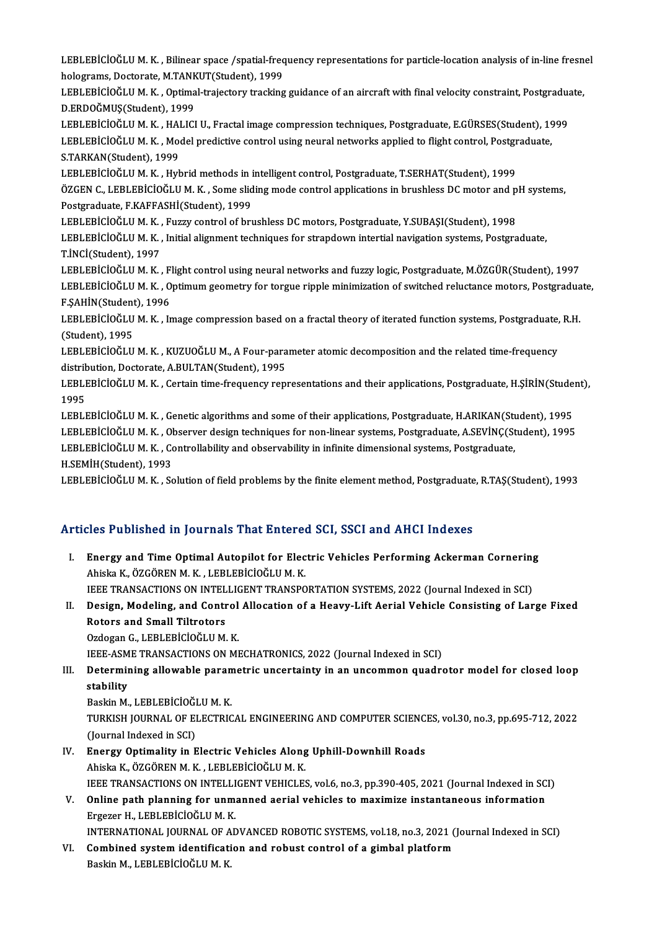LEBLEBİCİOĞLU M. K. , Bilinear space /spatial-frequency representations for particle-location analysis of in-line fresnel<br>helograms, Desterate, M.TANKUT(Student), 1999 LEBLEBİCİOĞLU M. K. , Bilinear space /spatial-freq<br>holograms, Doctorate, M.TANKUT(Student), 1999<br>LEBLERİCİOĞLU M. K., Ontimal trajastany trasking LEBLEBİCİOĞLU M. K. , Bilinear space /spatial-frequency representations for particle-location analysis of in-line fresn<br>holograms, Doctorate, M.TANKUT(Student), 1999<br>LEBLEBİCİOĞLU M. K. , Optimal-trajectory tracking guidan

holograms, Doctorate, M.TANK<br>LEBLEBİCİOĞLU M. K. , Optima<br>D.ERDOĞMUŞ(Student), 1999<br>LEBLEBİCİOĞLU M. K. , HALICİ LEBLEBİCİOĞLU M. K. , Optimal-trajectory tracking guidance of an aircraft with final velocity constraint, Postgradua<br>D.ERDOĞMUŞ(Student), 1999<br>LEBLEBİCİOĞLU M. K. , HALICI U., Fractal image compression techniques, Postgrad

D.ERDOĞMUŞ(Student), 1999<br>LEBLEBİCİOĞLU M. K. , HALICI U., Fractal image compression techniques, Postgraduate, E.GÜRSES(Student), 19<br>LEBLEBİCİOĞLU M. K. , Model predictive control using neural networks applied to flight co LEBLEBİCİOĞLU M. K. , HAI<br>LEBLEBİCİOĞLU M. K. , Moq<br>S.TARKAN(Student), 1999<br>LEBLEBİCİOĞLU M. K. , Huk LEBLEBİCİOĞLU M. K. , Model predictive control using neural networks applied to flight control, Postgraduate,<br>S.TARKAN(Student), 1999<br>LEBLEBİCİOĞLU M. K. , Hybrid methods in intelligent control, Postgraduate, T.SERHAT(Stud

S.TARKAN(Student), 1999<br>LEBLEBİCİOĞLU M. K. , Hybrid methods in intelligent control, Postgraduate, T.SERHAT(Student), 1999<br>ÖZGEN C., LEBLEBİCİOĞLU M. K. , Some sliding mode control applications in brushless DC motor and pH Postgraduate,F.KAFFASHİ(Student),1999 ÖZGEN C., LEBLEBİCİOĞLU M. K. , Some sliding mode control applications in brushless DC motor and p<br>Postgraduate, F.KAFFASHİ(Student), 1999<br>LEBLEBİCİOĞLU M. K. , Fuzzy control of brushless DC motors, Postgraduate, Y.SUBAŞI(

LEBLEBİCİOĞLU M.K., Initial alignment techniques for strapdown intertial navigation systems, Postgraduate,<br>T.İNCİ(Student), 1997 LEBLEBİCİOĞLU M. K., Fuzzy control of brushless DC motors, Postgraduate, Y.SUBAŞI(Student), 1998 LEBLEBİCİOĞLU M. K. , Initial alignment techniques for strapdown intertial navigation systems, Postgraduate,<br>T.İNCİ(Student), 1997<br>LEBLEBİCİOĞLU M. K. , Flight control using neural networks and fuzzy logic, Postgraduate, M

T.İNCİ(Student), 1997<br>LEBLEBİCİOĞLU M. K. , Flight control using neural networks and fuzzy logic, Postgraduate, M.ÖZGÜR(Student), 1997<br>LEBLEBİCİOĞLU M. K. , Optimum geometry for torgue ripple minimization of switched reluc LEBLEBİCİOĞLU M. K. , F.<br>LEBLEBİCİOĞLU M. K. , O<br>F.ŞAHİN(Student), 1996<br>LEBLEBİCİOĞLU M. K. , İs

LEBLEBİCİOĞLU M. K. , Optimum geometry for torgue ripple minimization of switched reluctance motors, Postgraduate,<br>F.ŞAHİN(Student), 1996<br>LEBLEBİCİOĞLU M. K. , Image compression based on a fractal theory of iterated functi LEBLEBICIOGLU M. K., Image compression based on a fractal theory of iterated function systems, Postgraduate, R.H. LEBLEBİCİOĞLU M. K. , Image compression based on a fractal theory of iterated function systems, Postgraduate,<br>(Student), 1995<br>LEBLEBİCİOĞLU M. K. , KUZUOĞLU M., A Four-parameter atomic decomposition and the related time-fr

(Student), 1995<br>LEBLEBİCİOĞLU M. K. , KUZUOĞLU M., A Four-para<br>distribution, Doctorate, A.BULTAN(Student), 1995<br>LEBLEBİCİOĞLU M. K., Cortain time frequengy rep LEBLEBİCİOĞLU M. K. , KUZUOĞLU M., A Four-parameter atomic decomposition and the related time-frequency<br>distribution, Doctorate, A.BULTAN(Student), 1995<br>LEBLEBİCİOĞLU M. K. , Certain time-frequency representations and thei

distribution, Doctorate, A.BULTAN(Student), 1995<br>LEBLEBİCİOĞLU M. K. , Certain time-frequency representations and their applications, Postgraduate, H.ŞİRİN(Student),<br>1995 LEBLEBİCİOĞLU M. K. , Certain time-frequency representations and their applications, Postgraduate, H.ŞİRİN(Stude<br>1995<br>LEBLEBİCİOĞLU M. K. , Genetic algorithms and some of their applications, Postgraduate, H.ARIKAN(Student)

1995<br>LEBLEBİCİOĞLU M. K. , Genetic algorithms and some of their applications, Postgraduate, H.ARIKAN(Student), 1995<br>LEBLEBİCİOĞLU M. K. , Observer design techniques for non-linear systems, Postgraduate, A.SEVİNÇ(Student), LEBLEBİCİOĞLU M. K. , Genetic algorithms and some of their applications, Postgraduate, H.ARIKAN(St.<br>LEBLEBİCİOĞLU M. K. , Observer design techniques for non-linear systems, Postgraduate, A.SEVİNÇ(St.<br>LEBLEBİCİOĞLU M. K. , LEBLEBİCİOĞLU M. K. , Observer design techniques for non-linear systems, Postgraduate, A.SEVİNÇ(Student), 1995<br>LEBLEBİCİOĞLU M. K. , Controllability and observability in infinite dimensional systems, Postgraduate,<br>H.SEMİH(

LEBLEBİCİOĞLU M.K., Solution of field problems by the finite element method, Postgraduate, R.TAS(Student), 1993

#### Articles Published in Journals That Entered SCI, SSCI and AHCI Indexes

- rticles Published in Journals That Entered SCI, SSCI and AHCI Indexes<br>I. Energy and Time Optimal Autopilot for Electric Vehicles Performing Ackerman Cornering<br>Abisks K. ÖZCÖPEN M.K. LERLERICIOČLUM K. Ahiska K., ÖZGÖREN M. K. , LEBLEBİCİOĞLU M. K.<br>IEEE TRANSACTIONS ON INTELLIGENT TRANSPORTATION SYSTEMS, 2022 (Journal Indexed in SCI) Energy and Time Optimal Autopilot for Electric Vehicles Performing Ackerman Cornering<br>Ahiska K., ÖZGÖREN M. K. , LEBLEBİCİOĞLU M. K.<br>IEEE TRANSACTIONS ON INTELLIGENT TRANSPORTATION SYSTEMS, 2022 (Journal Indexed in SCI)<br>Pe Ahiska K., ÖZGÖREN M. K. , LEBLEBİCİOĞLU M. K.<br>IEEE TRANSACTIONS ON INTELLIGENT TRANSPORTATION SYSTEMS, 2022 (Journal Indexed in SCI)<br>II. Design, Modeling, and Control Allocation of a Heavy-Lift Aerial Vehicle Consisti
- **IEEE TRANSACTIONS ON INTEL<br>Design, Modeling, and Contr<br>Rotors and Small Tiltrotors<br>Ordogan G LEBLERICIOČLUM** Design, Modeling, and Control<br>Rotors and Small Tiltrotors<br>Ozdogan G., LEBLEBİCİOĞLU M. K.<br>IEEE ASME TRANSACTIONS ON MI Rotors and Small Tiltrotors<br>Ozdogan G., LEBLEBİCİOĞLU M. K.<br>IEEE-ASME TRANSACTIONS ON MECHATRONICS, 2022 (Journal Indexed in SCI)

Ozdogan G., LEBLEBİCİOĞLU M. K.<br>IEEE-ASME TRANSACTIONS ON MECHATRONICS, 2022 (Journal Indexed in SCI)<br>III. Determining allowable parametric uncertainty in an uncommon quadrotor model for closed loop<br> **IEEE-ASM**<br>Determin<br>stability<br><sup>Poolin M</sup> Determining allowable paran<br>stability<br>Baskin M., LEBLEBİCİOĞLU M. K.<br>TURKISH JOURNAL OF ELECTRIC

stability<br>Baskin M., LEBLEBİCİOĞLU M. K.<br>TURKISH JOURNAL OF ELECTRICAL ENGINEERING AND COMPUTER SCIENCES, vol.30, no.3, pp.695-712, 2022<br>(Journal Indoved in SCL) Baskin M., LEBLEBİCİOĞI<br>TURKISH JOURNAL OF EI<br>(Journal Indexed in SCI)<br>Energy Ontimelity in E TURKISH JOURNAL OF ELECTRICAL ENGINEERING AND COMPUTER SCIENC.<br>(Journal Indexed in SCI)<br>IV. Energy Optimality in Electric Vehicles Along Uphill-Downhill Roads<br>Abielia K. ÖZCÖPEN M.K. LEPLERICIOČLUM K.

- (Journal Indexed in SCI)<br>IV. Energy Optimality in Electric Vehicles Along Uphill-Downhill Roads<br>Ahiska K., ÖZGÖREN M.K. , LEBLEBİCİOĞLU M.K. IEEE TRANSACTIONS ON INTELLIGENT VEHICLES, vol.6, no.3, pp.390-405, 2021 (Journal Indexed in SCI) Ahiska K., ÖZGÖREN M. K. , LEBLEBİCİOĞLU M. K.<br>IEEE TRANSACTIONS ON INTELLIGENT VEHICLES, vol.6, no.3, pp.390-405, 2021 (Journal Indexed in SC<br>V. Online path planning for unmanned aerial vehicles to maximize instantane
- IEEE TRANSACTIONS ON INTELLI<br>Online path planning for unm:<br>Ergezer H., LEBLEBİCİOĞLU M. K.<br>INTERNATIONAL JOURNAL OF AF Ergezer H., LEBLEBİCİOĞLU M. K.<br>INTERNATIONAL JOURNAL OF ADVANCED ROBOTIC SYSTEMS, vol.18, no.3, 2021 (Journal Indexed in SCI)
- VI. Combined system identification and robust control of a gimbal platform BaskinM.,LEBLEBİCİOĞLUM.K.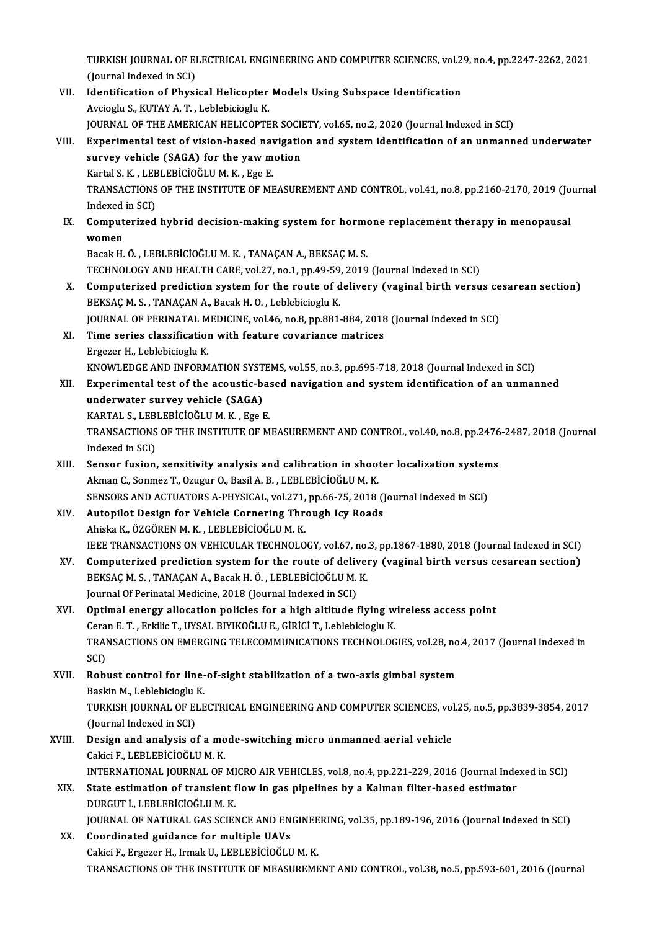TURKISH JOURNAL OF ELECTRICAL ENGINEERING AND COMPUTER SCIENCES, vol.29, no.4, pp.2247-2262, 2021<br>(Jaunnal Indoved in SCI) TURKISH JOURNAL OF EI<br>(Journal Indexed in SCI)<br>Identification of Physi TURKISH JOURNAL OF ELECTRICAL ENGINEERING AND COMPUTER SCIENCES, vol.2<br>(Journal Indexed in SCI)<br>VII. Identification of Physical Helicopter Models Using Subspace Identification<br>Avriegly S. KUTAV A.T. Leblabisiegly K.

- (Journal Indexed in SCI)<br>VII. Identification of Physical Helicopter Models Using Subspace Identification<br>Avcioglu S., KUTAY A.T., Leblebicioglu K. Identification of Physical Helicopter Models Using Subspace Identification<br>Avcioglu S., KUTAY A. T. , Leblebicioglu K.<br>JOURNAL OF THE AMERICAN HELICOPTER SOCIETY, vol.65, no.2, 2020 (Journal Indexed in SCI)<br>Experimental te
- VIII. Experimental test of vision-based navigation and system identification of an unmanned underwater SURNAL OF THE AMERICAN HELICOPTER SOCINTY<br>Experimental test of vision-based navigation<br>survey vehicle (SAGA) for the yaw motion<br>reads represence in Mark Fee F survey vehicle (SAGA) for the yaw motion<br>Kartal S.K., LEBLEBİCİOĞLUM.K., Ege E. survey vehicle (SAGA) for the yaw motion<br>Kartal S. K. , LEBLEBİCİOĞLU M. K. , Ege E.<br>TRANSACTIONS OF THE INSTITUTE OF MEASUREMENT AND CONTROL, vol.41, no.8, pp.2160-2170, 2019 (Journal<br>Indexed in SCD. Kartal S. K. , LEE<br>TRANSACTIONS<br>Indexed in SCI)<br>Computerized TRANSACTIONS OF THE INSTITUTE OF MEASUREMENT AND CONTROL, vol.41, no.8, pp.2160-2170, 2019 (Jo<br>Indexed in SCI)<br>IX. Computerized hybrid decision-making system for hormone replacement therapy in menopausal<br>women
	- Indexed<br>Comput<br>women<br><sup>Possk H</sup> Computerized hybrid decision-making system for horme<br>women<br>Bacak H.Ö. , LEBLEBİCİOĞLU M. K. , TANAÇAN A., BEKSAÇ M. S.<br>TECHNOLOCY AND HEALTH CARE vol 27 no 1 nn 49 59 2019

women<br>Bacak H. Ö. , LEBLEBİCİOĞLU M. K. , TANAÇAN A., BEKSAÇ M. S.<br>TECHNOLOGY AND HEALTH CARE, vol.27, no.1, pp.49-59, 2019 (Journal Indexed in SCI)<br>Computerized prodiction system for the route of delivery (yeginel birth y

- Bacak H. Ö., LEBLEBİCİOĞLU M. K., TANAÇAN A., BEKSAÇ M. S.<br>TECHNOLOGY AND HEALTH CARE, vol.27, no.1, pp.49-59, 2019 (Journal Indexed in SCI)<br>X. Computerized prediction system for the route of delivery (vaginal birth versus TECHNOLOGY AND HEALTH CARE, vol.27, no.1, pp.49-59,<br>Computerized prediction system for the route of d<br>BEKSAÇ M. S., TANAÇAN A., Bacak H. O. , Leblebicioglu K.<br>JOUPNAL OF PERINATAL MEDICINE vol.46, no.8, np.991. Computerized prediction system for the route of delivery (vaginal birth versus ce<br>BEKSAÇ M. S., TANAÇAN A., Bacak H. O. , Leblebicioglu K.<br>JOURNAL OF PERINATAL MEDICINE, vol.46, no.8, pp.881-884, 2018 (Journal Indexed in S BEKSAÇ M. S., TANAÇAN A., Bacak H. O., Leblebicioglu K.<br>JOURNAL OF PERINATAL MEDICINE, vol.46, no.8, pp.881-884, 2018<br>XI. Time series classification with feature covariance matrices<br>Ergezer H., Leblebicioglu K. JOURNAL OF PERINATAL MEDICINE, vol.46, no.8, pp.881-884, 2018 (Journal Indexed in SCI)
- Time series classification with feature covariance matrices<br>Ergezer H., Leblebicioglu K.<br>KNOWLEDGE AND INFORMATION SYSTEMS, vol.55, no.3, pp.695-718, 2018 (Journal Indexed in SCI)<br>Eunerimental test of the assustie based ne
- XII. Experimental test of the acoustic-based navigation and system identification of an unmanned underwater survey vehicle (SAGA) KNOWLEDGE AND INFORMATION SYST<br>Experimental test of the acoustic-b.<br>underwater survey vehicle (SAGA)<br>KARTAL S. LEPLERICOČLUM K. EGA Experimental test of the acoustic-based<br>underwater survey vehicle (SAGA)<br>KARTAL S., LEBLEBİCİOĞLUM.K. , Ege E.<br>TRANSACTIONS OF THE INSTITUTE OF M underwater survey vehicle (SAGA)<br>KARTAL S., LEBLEBİCİOĞLU M. K. , Ege E.<br>TRANSACTIONS OF THE INSTITUTE OF MEASUREMENT AND CONTROL, vol.40, no.8, pp.2476-2487, 2018 (Journal

KARTAL S., LEB<br>TRANSACTIONS<br>Indexed in SCI)<br>Sonson fusion TRANSACTIONS OF THE INSTITUTE OF MEASUREMENT AND CONTROL, vol.40, no.8, pp.2476<br>Indexed in SCI)<br>XIII. Sensor fusion, sensitivity analysis and calibration in shooter localization systems<br>Alman C. Senmer T. Orugur O. Basil

- Indexed in SCI)<br>Sensor fusion, sensitivity analysis and calibration in shoot<br>Akman C., Sonmez T., Ozugur O., Basil A. B. , LEBLEBİCİOĞLU M. K.<br>SENSORS AND ACTUATORS A RHYSICAL 312|271 np 66.75.2019 Sensor fusion, sensitivity analysis and calibration in shooter localization system<br>Akman C., Sonmez T., Ozugur O., Basil A. B. , LEBLEBİCİOĞLU M. K.<br>SENSORS AND ACTUATORS A-PHYSICAL, vol.271, pp.66-75, 2018 (Journal Indexe Akman C., Sonmez T., Ozugur O., Basil A. B., LEBLEBICIOĞLU M. K.<br>SENSORS AND ACTUATORS A-PHYSICAL, vol.271, pp.66-75, 2018 (<br>XIV. Autopilot Design for Vehicle Cornering Through Icy Roads<br>Abiska K. ÖZGÖBEN M. K., LEBLEBICIO
- SENSORS AND ACTUATORS A-PHYSICAL, vol.271,<br><mark>Autopilot Design for Vehicle Cornering Thr</mark><br>Ahiska K., ÖZGÖREN M. K. , LEBLEBİCİOĞLU M. K.<br>JEEE TRANSACTIONS ON VEHICIH AR TECHNOLO Autopilot Design for Vehicle Cornering Through Icy Roads<br>Ahiska K., ÖZGÖREN M. K. , LEBLEBİCİOĞLU M. K.<br>IEEE TRANSACTIONS ON VEHICULAR TECHNOLOGY, vol.67, no.3, pp.1867-1880, 2018 (Journal Indexed in SCI)<br>Computerized pred Ahiska K., ÖZGÖREN M. K., LEBLEBİCİOĞLU M. K.<br>IEEE TRANSACTIONS ON VEHICULAR TECHNOLOGY, vol.67, no.3, pp.1867-1880, 2018 (Journal Indexed in SCI)<br>XV. Computerized prediction system for the route of delivery (vaginal birth
- IEEE TRANSACTIONS ON VEHICULAR TECHNOLOGY, vol.67, no.<br>Computerized prediction system for the route of deliver<br>BEKSAÇ M. S. , TANAÇAN A., Bacak H. Ö. , LEBLEBİCİOĞLU M. K.<br>Journal Of Beringtal Medicine, 2018 (Journal Indov XV. Computerized prediction system for the route of delivery (vaginal birth versus cesarean section)<br>BEKSAÇ M. S., TANAÇAN A., Bacak H. Ö., LEBLEBİCİOĞLU M. K.<br>Journal Of Perinatal Medicine, 2018 (Journal Indexed in SCI) BEKSAÇ M. S., TANAÇAN A., Bacak H. Ö., LEBLEBİCİOĞLU M. K.<br>Journal Of Perinatal Medicine, 2018 (Journal Indexed in SCI)<br>XVI. Optimal energy allocation policies for a high altitude flying wireless access point<br>Coran E.T. Er
- Journal Of Perinatal Medicine, 2018 (Journal Indexed in SCI)<br>Optimal energy allocation policies for a high altitude flying w<br>Ceran E. T. , Erkilic T., UYSAL BIYIKOĞLU E., GİRİCİ T., Leblebicioglu K.<br>TRANSACTIONS ON EMERCIN Optimal energy allocation policies for a high altitude flying wireless access point<br>Ceran E. T. , Erkilic T., UYSAL BIYIKOĞLU E., GİRİCİ T., Leblebicioglu K.<br>TRANSACTIONS ON EMERGING TELECOMMUNICATIONS TECHNOLOGIES, vol.28 Cera<br>TRAI<br>SCI)<br>Bob TRANSACTIONS ON EMERGING TELECOMMUNICATIONS TECHNOLOGIES, vol.28, no<br>SCI)<br>XVII. Robust control for line-of-sight stabilization of a two-axis gimbal system<br>Packin M. Loblobisiastly K
- SCI)<br>XVII. Robust control for line-of-sight stabilization of a two-axis gimbal system<br>Baskin M., Leblebicioglu K. Robust control for line-of-sight stabilization of a two-axis gimbal system<br>Baskin M., Leblebicioglu K.<br>TURKISH JOURNAL OF ELECTRICAL ENGINEERING AND COMPUTER SCIENCES, vol.25, no.5, pp.3839-3854, 2017<br>(Journal Indoved in S Baskin M., Leblebicioglu<br>TURKISH JOURNAL OF EI<br>(Journal Indexed in SCI)<br>Dosian and analysis of TURKISH JOURNAL OF ELECTRICAL ENGINEERING AND COMPUTER SCIENCES, vol<br>(Journal Indexed in SCI)<br>XVIII. Design and analysis of a mode-switching micro unmanned aerial vehicle<br>Coltist E LEPLERICIOČLUM V

# (Journal Indexed in SCI)<br>Design and analysis of a mo<br>Cakici F., LEBLEBİCİOĞLU M. K.<br>INTERNATIONAL IOURNAL OF Cakici F., LEBLEBİCİOĞLU M. K.<br>INTERNATIONAL JOURNAL OF MICRO AIR VEHICLES, vol.8, no.4, pp.221-229, 2016 (Journal Indexed in SCI)

### XIX. State estimation of transient flowin gas pipelines by a Kalman filter-based estimator DURGUT İ., LEBLEBİCİOĞLU M. K. State estimation of transient flow in gas pipelines by a Kalman filter-based estimator<br>DURGUT İ., LEBLEBİCİOĞLU M. K.<br>JOURNAL OF NATURAL GAS SCIENCE AND ENGINEERING, vol.35, pp.189-196, 2016 (Journal Indexed in SCI)<br>Coordi DURGUT İ., LEBLEBİCİOĞLU M. K.<br>JOURNAL OF NATURAL GAS SCIENCE AND EN<br>XX. Coordinated guidance for multiple UAVs

JOURNAL OF NATURAL GAS SCIENCE AND ENGINEE<br>Coordinated guidance for multiple UAVs<br>Cakici F., Ergezer H., Irmak U., LEBLEBİCİOĞLU M. K.<br>TRANSACTIONS OF THE INSTITUTE OF MEASUREME XX. Coordinated guidance for multiple UAVs<br>Cakici F., Ergezer H., Irmak U., LEBLEBICIOĞLU M. K.<br>TRANSACTIONS OF THE INSTITUTE OF MEASUREMENT AND CONTROL, vol.38, no.5, pp.593-601, 2016 (Journal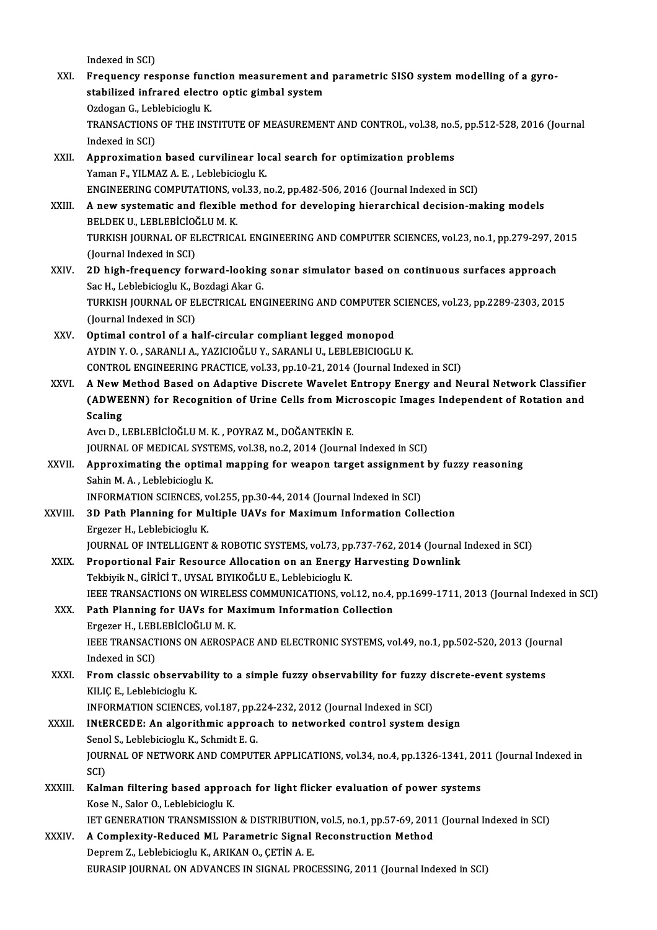- Indexed in SCI) Indexed in SCI)<br>XXI. Frequency response function measurement and parametric SISO system modelling of a gyro-<br>stabilized infrazed cleatre antic gimbel system Indexed in SCI)<br>Frequency response function measurement and<br>stabilized infrared electro optic gimbal system<br>Ordegan C. Leblebisiegly K stabilized infrared electro optic gimbal system<br>Ozdogan G., Leblebicioglu K. stabilized infrared electro optic gimbal system<br>Ozdogan G., Leblebicioglu K.<br>TRANSACTIONS OF THE INSTITUTE OF MEASUREMENT AND CONTROL, vol.38, no.5, pp.512-528, 2016 (Journal<br>Indoved in SCD. Ozdogan G., Leb<br>TRANSACTIONS<br>Indexed in SCI)<br>Annrovimatio TRANSACTIONS OF THE INSTITUTE OF MEASUREMENT AND CONTROL, vol.38, no.<br>Indexed in SCI)<br>XXII. Approximation based curvilinear local search for optimization problems<br>Vaman F. VII MAZ A. F. Loblobisiagly K. Indexed in SCI)<br>XXII. Approximation based curvilinear local search for optimization problems<br>Yaman F., YILMAZ A. E. , Leblebicioglu K. Approximation based curvilinear local search for optimization problems<br>Yaman F., YILMAZ A. E. , Leblebicioglu K.<br>ENGINEERING COMPUTATIONS, vol.33, no.2, pp.482-506, 2016 (Journal Indexed in SCI)<br>A now systematic and florib Yaman F., YILMAZ A. E. , Leblebicioglu K.<br>ENGINEERING COMPUTATIONS, vol.33, no.2, pp.482-506, 2016 (Journal Indexed in SCI)<br>XXIII. A new systematic and flexible method for developing hierarchical decision-making models<br>PEL ENGINEERING COMPUTATIONS, v<br>A new systematic and flexible<br>BELDEK U., LEBLEBİCİOĞLU M. K.<br>TURKISH JOURNAL OF ELECTRICA A new systematic and flexible method for developing hierarchical decision-making models<br>BELDEK U., LEBLEBICIOĞLU M. K.<br>TURKISH JOURNAL OF ELECTRICAL ENGINEERING AND COMPUTER SCIENCES, vol.23, no.1, pp.279-297, 2015<br>(Jaurna BELDEK U., LEBLEBİCİOĞLU M. K.<br>TURKISH JOURNAL OF ELECTRICAL ENGINEERING AND COMPUTER SCIENCES, vol.23, no.1, pp.279-297, 2015<br>(Journal Indexed in SCI) TURKISH JOURNAL OF ELECTRICAL ENGINEERING AND COMPUTER SCIENCES, vol.23, no.1, pp.279-297, 2<br>(Journal Indexed in SCI)<br>XXIV. 2D high-frequency forward-looking sonar simulator based on continuous surfaces approach<br>See H. Leb (Journal Indexed in SCI)<br>2D high-frequency forward-looking<br>Sac H., Leblebicioglu K., Bozdagi Akar G.<br>TURKISH JOURNAL OF ELECTRICAL ENG 2D high-frequency forward-looking sonar simulator based on continuous surfaces approach<br>Sac H., Leblebicioglu K., Bozdagi Akar G.<br>TURKISH JOURNAL OF ELECTRICAL ENGINEERING AND COMPUTER SCIENCES, vol.23, pp.2289-2303, 2015<br> Sac H., Leblebicioglu K., B<br>TURKISH JOURNAL OF EI<br>(Journal Indexed in SCI)<br>Ontimol control of a b TURKISH JOURNAL OF ELECTRICAL ENGINEERING AND COMPUTER S<br>(Journal Indexed in SCI)<br>XXV. Optimal control of a half-circular compliant legged monopod<br>AXDIN Y O. SARANLLA VAZICIOČLUV, SARANLLU, LEBLERICIOCLI (Journal Indexed in SCI)<br>Optimal control of a half-circular compliant legged monopod<br>AYDIN Y. O. , SARANLI A., YAZICIOĞLU Y., SARANLI U., LEBLEBICIOGLU K. CONTROL ENGINEERING PRACTICE, vol.33, pp.10-21, 2014 (Journal Indexed in SCI) AYDIN Y. O. , SARANLI A., YAZICIOĞLU Y., SARANLI U., LEBLEBICIOGLU K.<br>CONTROL ENGINEERING PRACTICE, vol.33, pp.10-21, 2014 (Journal Indexed in SCI)<br>XXVI. A New Method Based on Adaptive Discrete Wavelet Entropy Energy and N CONTROL ENGINEERING PRACTICE, vol.33, pp.10-21, 2014 (Journal Indexed in SCI)<br>A New Method Based on Adaptive Discrete Wavelet Entropy Energy and Neural Network Classifier<br>(ADWEENN) for Recognition of Urine Cells from Micro A New I<br>(ADWE)<br>Scaling<br>Avg D J (ADWEENN) for Recognition of Urine Cells from Microscopic Images Independent of Rotation and<br>Scaling<br>Avcı D., LEBLEBİCİOĞLU M. K. , POYRAZ M., DOĞANTEKİN E. Scaling<br>Avcı D., LEBLEBİCİOĞLU M. K. , POYRAZ M., DOĞANTEKİN E.<br>JOURNAL OF MEDICAL SYSTEMS, vol.38, no.2, 2014 (Journal Indexed in SCI)<br>Annrevimeting the entimal manning for weapon target essignment l Avcı D., LEBLEBİCİOĞLU M. K., POYRAZ M., DOĞANTEKİN E.<br>JOURNAL OF MEDICAL SYSTEMS, vol.38, no.2, 2014 (Journal Indexed in SCI)<br>XXVII. Approximating the optimal mapping for weapon target assignment by fuzzy reasoning<br>Sa **JOURNAL OF MEDICAL SYST<br>Approximating the optime<br>Sahin M. A. , Leblebicioglu K.<br>INFORMATION SCIENCES** vo Approximating the optimal mapping for weapon target assignment<br>Sahin M. A. , Leblebicioglu K.<br>INFORMATION SCIENCES, vol.255, pp.30-44, 2014 (Journal Indexed in SCI)<br>2D Beth Blanning for Multiple HAVs for Mayimum Informatio Sahin M. A. , Leblebicioglu K.<br>INFORMATION SCIENCES, vol.255, pp.30-44, 2014 (Journal Indexed in SCI)<br>XXVIII. 3D Path Planning for Multiple UAVs for Maximum Information Collection INFORMATION SCIENCES, v<br>3D Path Planning for Mu<br>Ergezer H., Leblebicioglu K.<br>JOUPNAL OF INTELLICENT Ergezer H., Leblebicioglu K.<br>JOURNAL OF INTELLIGENT & ROBOTIC SYSTEMS, vol.73, pp.737-762, 2014 (Journal Indexed in SCI) Ergezer H., Leblebicioglu K.<br>JOURNAL OF INTELLIGENT & ROBOTIC SYSTEMS, vol.73, pp.737-762, 2014 (Journal<br>XXIX. Proportional Fair Resource Allocation on an Energy Harvesting Downlink<br>Telebistic N. Cipici T. UVSAL PIVIKOČLU JOURNAL OF INTELLIGENT & ROBOTIC SYSTEMS, vol.73, pp<br>Proportional Fair Resource Allocation on an Energy<br>Tekbiyik N., GİRİCİ T., UYSAL BIYIKOĞLU E., Leblebicioglu K.<br>JEEE TRANSACTIONS ON WIRELESS COMMUNICATIONS vol Proportional Fair Resource Allocation on an Energy Harvesting Downlink<br>Tekbiyik N., GİRİCİ T., UYSAL BIYIKOĞLU E., Leblebicioglu K.<br>IEEE TRANSACTIONS ON WIRELESS COMMUNICATIONS, vol.12, no.4, pp.1699-1711, 2013 (Journal In Tekbiyik N., GİRİCİ T., UYSAL BIYIKOĞLU E., Leblebicioglu K.<br>IEEE TRANSACTIONS ON WIRELESS COMMUNICATIONS, vol.12, no.4,<br>XXX. Path Planning for UAVs for Maximum Information Collection IEEE TRANSACTIONS ON WIRELE<br>Path Planning for UAVs for M:<br>Ergezer H., LEBLEBİCİOĞLU M. K.<br>IEEE TRANSACTIONS ON AEROSP Path Planning for UAVs for Maximum Information Collection<br>Ergezer H., LEBLEBİCİOĞLU M. K.<br>IEEE TRANSACTIONS ON AEROSPACE AND ELECTRONIC SYSTEMS, vol.49, no.1, pp.502-520, 2013 (Journal<br>Indoved in SCD. Ergezer H., LEB<br>IEEE TRANSACI<br>Indexed in SCI)<br>Erom classis c IEEE TRANSACTIONS ON AEROSPACE AND ELECTRONIC SYSTEMS, vol.49, no.1, pp.502-520, 2013 (Jour<br>Indexed in SCI)<br>XXXI. From classic observability to a simple fuzzy observability for fuzzy discrete-event systems<br>VILIC E. Loblobi Indexed in SCI)<br>From classic observability to a simple fuzzy observability for fuzzy discrete-event systems<br>KILIÇ E., Leblebicioglu K. From classic observability to a simple fuzzy observability for fuzzy d<br>KILIÇ E., Leblebicioglu K.<br>INFORMATION SCIENCES, vol.187, pp.224-232, 2012 (Journal Indexed in SCI)<br>INFERCEDE: An alsonithmic annuageb to naturalised s XXXII. INtERCEDE: An algorithmic approach to networked control system design INFORMATION SCIENCES, vol.187, pp.2<br>INtERCEDE: An algorithmic appro:<br>Senol S., Leblebicioglu K., Schmidt E. G.<br>JOUPMAL OF NETWOPK AND COMBUT JOURNAL OF NETWORK AND COMPUTER APPLICATIONS, vol.34, no.4, pp.1326-1341, 2011 (Journal Indexed in SCI) Senol S., Leblebicioglu K., Schmidt E. G. JOURNAL OF NETWORK AND COMPUTER APPLICATIONS, vol.34, no.4, pp.1326-1341, 201<br>SCI)<br>XXXIII. Kalman filtering based approach for light flicker evaluation of power systems<br>X999 N. Selen Q. Leblebisiesch: K SCI)<br><mark>Kalman filtering based appro</mark>:<br>Kose N., Salor O., Leblebicioglu K.<br>IET CENER ATION TRANSMISSION Kalman filtering based approach for light flicker evaluation of power systems<br>Kose N., Salor O., Leblebicioglu K.<br>IET GENERATION TRANSMISSION & DISTRIBUTION, vol.5, no.1, pp.57-69, 2011 (Journal Indexed in SCI)<br>A Complexit Kose N., Salor O., Leblebicioglu K.<br>IET GENERATION TRANSMISSION & DISTRIBUTION, vol.5, no.1, pp.57-69, 2011<br>XXXIV. A Complexity-Reduced ML Parametric Signal Reconstruction Method
- **IET GENERATION TRANSMISSION & DISTRIBUTION<br>A Complexity-Reduced ML Parametric Signal<br>Deprem Z., Leblebicioglu K., ARIKAN O., ÇETİN A. E.<br>EURASIR JOURNAL ON ADVANCES IN SICNAL BROQ** A Complexity-Reduced ML Parametric Signal Reconstruction Method<br>Deprem Z., Leblebicioglu K., ARIKAN O., ÇETİN A. E.<br>EURASIP JOURNAL ON ADVANCES IN SIGNAL PROCESSING, 2011 (Journal Indexed in SCI)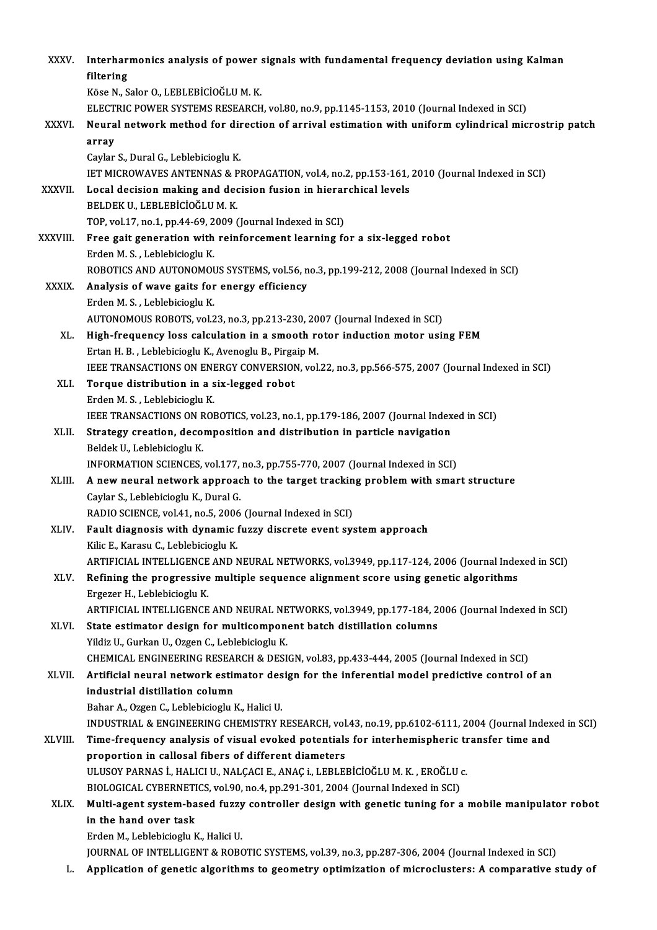| <b>XXXV</b>   | Interharmonics analysis of power signals with fundamental frequency deviation using Kalman                 |
|---------------|------------------------------------------------------------------------------------------------------------|
|               | filtering                                                                                                  |
|               | Köse N., Salor O., LEBLEBİCİOĞLU M. K.                                                                     |
|               | ELECTRIC POWER SYSTEMS RESEARCH, vol.80, no.9, pp.1145-1153, 2010 (Journal Indexed in SCI)                 |
| XXXVI.        | Neural network method for direction of arrival estimation with uniform cylindrical microstrip patch        |
|               | array                                                                                                      |
|               | Caylar S., Dural G., Leblebicioglu K.                                                                      |
|               | IET MICROWAVES ANTENNAS & PROPAGATION, vol.4, no.2, pp.153-161, 2010 (Journal Indexed in SCI)              |
| <b>XXXVII</b> | Local decision making and decision fusion in hierarchical levels                                           |
|               | BELDEK U., LEBLEBICIOĞLU M. K.                                                                             |
|               | TOP, vol.17, no.1, pp.44-69, 2009 (Journal Indexed in SCI)                                                 |
| XXXVIII.      | Free gait generation with reinforcement learning for a six-legged robot                                    |
|               | Erden M.S., Leblebicioglu K.                                                                               |
|               | ROBOTICS AND AUTONOMOUS SYSTEMS, vol.56, no.3, pp.199-212, 2008 (Journal Indexed in SCI)                   |
| <b>XXXIX</b>  | Analysis of wave gaits for energy efficiency                                                               |
|               | Erden M. S., Leblebicioglu K.                                                                              |
|               | AUTONOMOUS ROBOTS, vol.23, no.3, pp.213-230, 2007 (Journal Indexed in SCI)                                 |
| XL.           | High-frequency loss calculation in a smooth rotor induction motor using FEM                                |
|               | Ertan H. B., Leblebicioglu K., Avenoglu B., Pirgaip M.                                                     |
|               | IEEE TRANSACTIONS ON ENERGY CONVERSION, vol.22, no.3, pp.566-575, 2007 (Journal Indexed in SCI)            |
| XLI.          | Torque distribution in a six-legged robot                                                                  |
|               | Erden M. S., Leblebicioglu K.                                                                              |
|               | IEEE TRANSACTIONS ON ROBOTICS, vol.23, no.1, pp.179-186, 2007 (Journal Indexed in SCI)                     |
| XLII.         | Strategy creation, decomposition and distribution in particle navigation                                   |
|               | Beldek U., Leblebicioglu K.                                                                                |
|               | INFORMATION SCIENCES, vol.177, no.3, pp.755-770, 2007 (Journal Indexed in SCI)                             |
| XLIII.        | A new neural network approach to the target tracking problem with smart structure                          |
|               | Caylar S., Leblebicioglu K., Dural G.                                                                      |
|               | RADIO SCIENCE, vol.41, no.5, 2006 (Journal Indexed in SCI)                                                 |
| XLIV.         | Fault diagnosis with dynamic fuzzy discrete event system approach<br>Kilic E., Karasu C., Leblebicioglu K. |
|               | ARTIFICIAL INTELLIGENCE AND NEURAL NETWORKS, vol.3949, pp.117-124, 2006 (Journal Indexed in SCI)           |
| XLV.          | Refining the progressive multiple sequence alignment score using genetic algorithms                        |
|               | Ergezer H., Leblebicioglu K.                                                                               |
|               | ARTIFICIAL INTELLIGENCE AND NEURAL NETWORKS, vol.3949, pp.177-184, 2006 (Journal Indexed in SCI)           |
| XLVI.         | State estimator design for multicomponent batch distillation columns                                       |
|               | Yildiz U., Gurkan U., Ozgen C., Leblebicioglu K.                                                           |
|               | CHEMICAL ENGINEERING RESEARCH & DESIGN, vol.83, pp.433-444, 2005 (Journal Indexed in SCI)                  |
| XLVII.        | Artificial neural network estimator design for the inferential model predictive control of an              |
|               | industrial distillation column                                                                             |
|               | Bahar A., Ozgen C., Leblebicioglu K., Halici U.                                                            |
|               | INDUSTRIAL & ENGINEERING CHEMISTRY RESEARCH, vol.43, no.19, pp.6102-6111, 2004 (Journal Indexed in SCI)    |
| XLVIII.       | Time-frequency analysis of visual evoked potentials for interhemispheric transfer time and                 |
|               | proportion in callosal fibers of different diameters                                                       |
|               | ULUSOY PARNAS İ., HALICI U., NALÇACI E., ANAÇ i., LEBLEBİCİOĞLU M. K., EROĞLU c.                           |
|               | BIOLOGICAL CYBERNETICS, vol.90, no.4, pp.291-301, 2004 (Journal Indexed in SCI)                            |
| XLIX.         | Multi-agent system-based fuzzy controller design with genetic tuning for a mobile manipulator robot        |
|               | in the hand over task                                                                                      |
|               | Erden M., Leblebicioglu K., Halici U.                                                                      |
|               | JOURNAL OF INTELLIGENT & ROBOTIC SYSTEMS, vol.39, no.3, pp.287-306, 2004 (Journal Indexed in SCI)          |
| L.            | Application of genetic algorithms to geometry optimization of microclusters: A comparative study of        |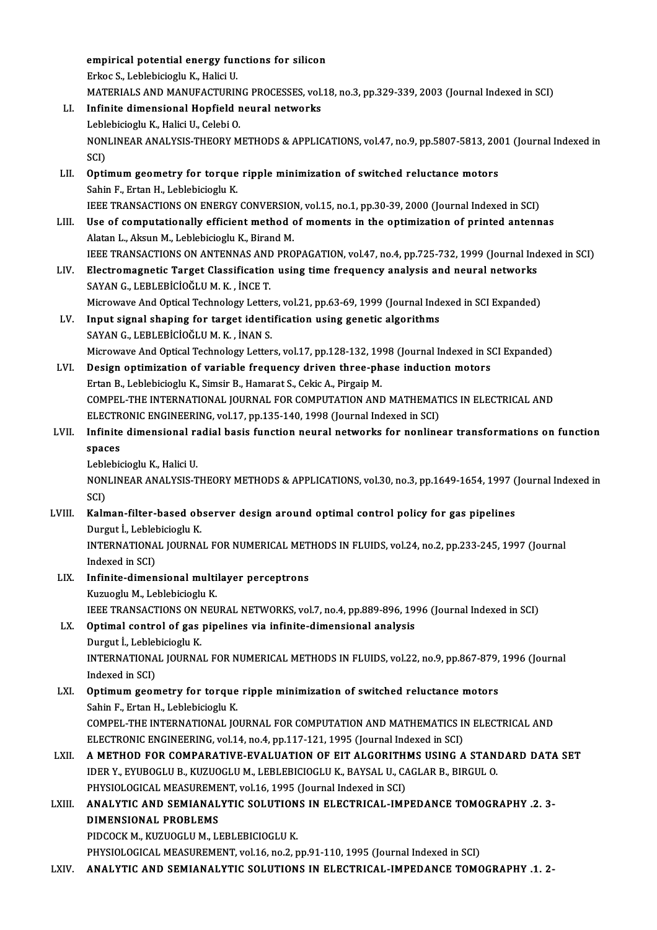|        | empirical potential energy functions for silicon                                                                                                                              |
|--------|-------------------------------------------------------------------------------------------------------------------------------------------------------------------------------|
|        | Erkoc S., Leblebicioglu K., Halici U.                                                                                                                                         |
|        | MATERIALS AND MANUFACTURING PROCESSES, vol.18, no.3, pp.329-339, 2003 (Journal Indexed in SCI)                                                                                |
| LI.    | Infinite dimensional Hopfield neural networks                                                                                                                                 |
|        | Leblebicioglu K., Halici U., Celebi O.                                                                                                                                        |
|        | NONLINEAR ANALYSIS-THEORY METHODS & APPLICATIONS, vol.47, no.9, pp.5807-5813, 2001 (Journal Indexed in                                                                        |
|        | SCI)                                                                                                                                                                          |
| LII.   | Optimum geometry for torque ripple minimization of switched reluctance motors                                                                                                 |
|        | Sahin F., Ertan H., Leblebicioglu K.                                                                                                                                          |
|        | IEEE TRANSACTIONS ON ENERGY CONVERSION, vol.15, no.1, pp.30-39, 2000 (Journal Indexed in SCI)                                                                                 |
| LIII.  | Use of computationally efficient method of moments in the optimization of printed antennas                                                                                    |
|        | Alatan L., Aksun M., Leblebicioglu K., Birand M.                                                                                                                              |
|        | IEEE TRANSACTIONS ON ANTENNAS AND PROPAGATION, vol.47, no.4, pp.725-732, 1999 (Journal Indexed in SCI)                                                                        |
| LIV.   | Electromagnetic Target Classification using time frequency analysis and neural networks                                                                                       |
|        | SAYAN G., LEBLEBİCİOĞLU M. K., İNCE T.                                                                                                                                        |
| LV.    | Microwave And Optical Technology Letters, vol.21, pp.63-69, 1999 (Journal Indexed in SCI Expanded)<br>Input signal shaping for target identification using genetic algorithms |
|        | SAYAN G., LEBLEBİCİOĞLU M. K., İNAN S.                                                                                                                                        |
|        | Microwave And Optical Technology Letters, vol.17, pp.128-132, 1998 (Journal Indexed in SCI Expanded)                                                                          |
| LVI.   | Design optimization of variable frequency driven three-phase induction motors                                                                                                 |
|        | Ertan B., Leblebicioglu K., Simsir B., Hamarat S., Cekic A., Pirgaip M.                                                                                                       |
|        | COMPEL-THE INTERNATIONAL JOURNAL FOR COMPUTATION AND MATHEMATICS IN ELECTRICAL AND                                                                                            |
|        | ELECTRONIC ENGINEERING, vol.17, pp.135-140, 1998 (Journal Indexed in SCI)                                                                                                     |
| LVII.  | Infinite dimensional radial basis function neural networks for nonlinear transformations on function                                                                          |
|        | spaces                                                                                                                                                                        |
|        | Leblebicioglu K., Halici U.                                                                                                                                                   |
|        | NONLINEAR ANALYSIS-THEORY METHODS & APPLICATIONS, vol.30, no.3, pp.1649-1654, 1997 (Journal Indexed in                                                                        |
|        | SCI)                                                                                                                                                                          |
| LVIII. | Kalman-filter-based observer design around optimal control policy for gas pipelines                                                                                           |
|        | Durgut I., Leblebicioglu K.                                                                                                                                                   |
|        | INTERNATIONAL JOURNAL FOR NUMERICAL METHODS IN FLUIDS, vol.24, no.2, pp.233-245, 1997 (Journal                                                                                |
|        | Indexed in SCI)                                                                                                                                                               |
| LIX.   | Infinite-dimensional multilayer perceptrons                                                                                                                                   |
|        | Kuzuoglu M., Leblebicioglu K.<br>IEEE TRANSACTIONS ON NEURAL NETWORKS, vol.7, no.4, pp.889-896, 1996 (Journal Indexed in SCI)                                                 |
| LX.    | Optimal control of gas pipelines via infinite-dimensional analysis                                                                                                            |
|        | Durgut İ., Leblebicioglu K.                                                                                                                                                   |
|        | INTERNATIONAL JOURNAL FOR NUMERICAL METHODS IN FLUIDS, vol.22, no.9, pp.867-879, 1996 (Journal                                                                                |
|        | Indexed in SCI)                                                                                                                                                               |
| LXI.   | Optimum geometry for torque ripple minimization of switched reluctance motors                                                                                                 |
|        | Sahin F., Ertan H., Leblebicioglu K.                                                                                                                                          |
|        | COMPEL-THE INTERNATIONAL JOURNAL FOR COMPUTATION AND MATHEMATICS IN ELECTRICAL AND                                                                                            |
|        | ELECTRONIC ENGINEERING, vol.14, no.4, pp.117-121, 1995 (Journal Indexed in SCI)                                                                                               |
| LXII.  | A METHOD FOR COMPARATIVE-EVALUATION OF EIT ALGORITHMS USING A STANDARD DATA SET                                                                                               |
|        | IDER Y., EYUBOGLU B., KUZUOGLU M., LEBLEBICIOGLU K., BAYSAL U., CAGLAR B., BIRGUL O.                                                                                          |
|        | PHYSIOLOGICAL MEASUREMENT, vol.16, 1995 (Journal Indexed in SCI)                                                                                                              |
| LXIII. | ANALYTIC AND SEMIANALYTIC SOLUTIONS IN ELECTRICAL-IMPEDANCE TOMOGRAPHY .2. 3-                                                                                                 |
|        | DIMENSIONAL PROBLEMS                                                                                                                                                          |
|        | PIDCOCK M., KUZUOGLU M., LEBLEBICIOGLU K.                                                                                                                                     |
|        | PHYSIOLOGICAL MEASUREMENT, vol.16, no.2, pp.91-110, 1995 (Journal Indexed in SCI)                                                                                             |
| LXIV.  | ANALYTIC AND SEMIANALYTIC SOLUTIONS IN ELECTRICAL-IMPEDANCE TOMOGRAPHY .1. 2-                                                                                                 |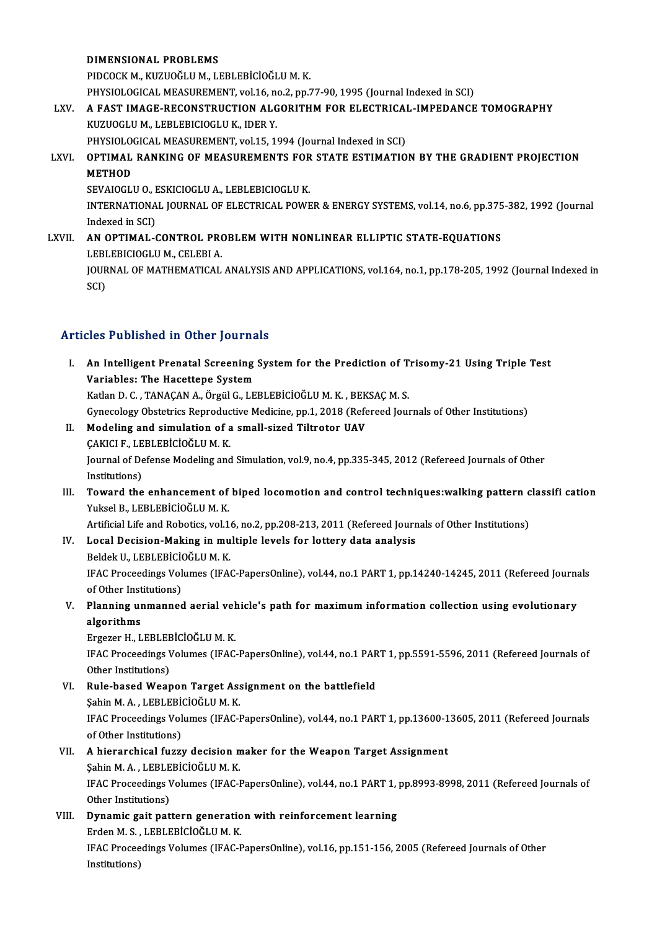DIMENSIONAL PROBLEMS

PIDCOCKM.,KUZUOĞLUM.,LEBLEBİCİOĞLUM.K.

DIMENSIONAL PROBLEMS<br>PIDCOCK M., KUZUOĞLU M., LEBLEBİCİOĞLU M. K.<br>PHYSIOLOGICAL MEASUREMENT, vol.16, no.2, pp.77-90, 1995 (Journal Indexed in SCI)<br>A. EAST IMACE RECONSTRUCTION ALCORITUM FOR ELECTRICAL IMPERANCE

# PIDCOCK M., KUZUOĞLU M., LEBLEBİCİOĞLU M. K.<br>PHYSIOLOGICAL MEASUREMENT, vol.16, no.2, pp.77-90, 1995 (Journal Indexed in SCI)<br>LXV. — A FAST IMAGE-RECONSTRUCTION ALGORITHM FOR ELECTRICAL-IMPEDANCE TOMOGRAPHY PHYSIOLOGICAL MEASUREMENT, vol.16, no.<br>A FAST IMAGE-RECONSTRUCTION ALG<br>KUZUOGLU M., LEBLEBICIOGLU K., IDER Y.<br>PHYSIOLOGICAL MEASUPEMENT, vol.15, 19 A FAST IMAGE-RECONSTRUCTION ALGORITHM FOR ELECTRICAL<br>KUZUOGLU M., LEBLEBICIOGLU K., IDER Y.<br>PHYSIOLOGICAL MEASUREMENT, vol.15, 1994 (Journal Indexed in SCI)<br>OPTIMAL PANKING OF MEASUREMENTS FOR STATE ESTIMATIO

PHYSIOLOGICAL MEASUREMENT, vol.15, 1994 (Journal Indexed in SCI)

# KUZUOGLU M., LEBLEBICIOGLU K., IDER Y.<br>PHYSIOLOGICAL MEASUREMENT, vol.15, 1994 (Journal Indexed in SCI)<br>LXVI. OPTIMAL RANKING OF MEASUREMENTS FOR STATE ESTIMATION BY THE GRADIENT PROJECTION<br>METHOD

SEVAIOGLU O., ESKICIOGLU A., LEBLEBICIOGLU K.

METHOD<br>SEVAIOGLU O., ESKICIOGLU A., LEBLEBICIOGLU K.<br>INTERNATIONAL JOURNAL OF ELECTRICAL POWER & ENERGY SYSTEMS, vol.14, no.6, pp.375-382, 1992 (Journal SEVAIOGLU O., I<br>INTERNATIONA<br>Indexed in SCI)<br>AN OPTIMAL INTERNATIONAL JOURNAL OF ELECTRICAL POWER & ENERGY SYSTEMS, vol.14, no.6, pp.375<br>Indexed in SCI)<br>LXVII. **AN OPTIMAL-CONTROL PROBLEM WITH NONLINEAR ELLIPTIC STATE-EQUATIONS** 

# Indexed in SCI)<br>**AN OPTIMAL-CONTROL PRO<br>LEBLEBICIOGLU M., CELEBI A.<br>JOUPMAL OF MATHEMATICAL** AN OPTIMAL-CONTROL PROBLEM WITH NONLINEAR ELLIPTIC STATE-EQUATIONS<br>LEBLEBICIOGLU M., CELEBI A.<br>JOURNAL OF MATHEMATICAL ANALYSIS AND APPLICATIONS, vol.164, no.1, pp.178-205, 1992 (Journal Indexed in<br>SCD LEBI<br>JOUR<br>SCI)

# Articles Published in Other Journals

rticles Published in Other Journals<br>I. An Intelligent Prenatal Screening System for the Prediction of Trisomy-21 Using Triple Test<br>Variables: The Hasettone System XXXX THERISTICAL IN CERT JOUTH.<br>An Intelligent Prenatal Screening<br>Variables: The Hacettepe System An Intelligent Prenatal Screening System for the Prediction of T<br>Variables: The Hacettepe System<br>Katlan D. C. , TANAÇAN A., Örgül G., LEBLEBİCİOĞLU M. K. , BEKSAÇ M. S.<br>Cuneselegy Obstatrics Benredustiye Medicine, nn 1, 20 Variables: The Hacettepe System<br>Katlan D. C. , TANAÇAN A., Örgül G., LEBLEBİCİOĞLU M. K. , BEKSAÇ M. S.<br>Gynecology Obstetrics Reproductive Medicine, pp.1, 2018 (Refereed Journals of Other Institutions)

- Katlan D. C. , TANAÇAN A., Örgül G., LEBLEBİCİOĞLU M. K. , BEK<br>Gynecology Obstetrics Reproductive Medicine, pp.1, 2018 (Refe<br>II. Modeling and simulation of a small-sized Tiltrotor UAV<br>CAVICLE LEBLEBİCİOĞLU M. K. Gynecology Obstetrics Reproduck<br>Modeling and simulation of a<br>CAKICI F., LEBLEBİCİOĞLUM.K.<br>Journal of Defense Modeling and Modeling and simulation of a small-sized Tiltrotor UAV<br>ÇAKICI F., LEBLEBİCİOĞLU M. K.<br>Journal of Defense Modeling and Simulation, vol.9, no.4, pp.335-345, 2012 (Refereed Journals of Other<br>Institutions) CAKICI F., LE<br>Journal of De<br>Institutions)<br>Toward the
- Journal of Defense Modeling and Simulation, vol.9, no.4, pp.335-345, 2012 (Refereed Journals of Other<br>Institutions)<br>III. Toward the enhancement of biped locomotion and control techniques:walking pattern classifi cation<br>Vul Institutions)<br>III. Toward the enhancement of biped locomotion and control techniques:walking pattern classifi cation<br>Yuksel B., LEBLEBİCİOĞLU M. K. Toward the enhancement of biped locomotion and control techniques:walking pattern c<br>Yuksel B., LEBLEBİCİOĞLU M. K.<br>Artificial Life and Robotics, vol.16, no.2, pp.208-213, 2011 (Refereed Journals of Other Institutions)<br>Loga Yuksel B., LEBLEBİCİOĞLU M. K.<br>Artificial Life and Robotics, vol.16, no.2, pp.208-213, 2011 (Refereed Journ<br>IV. Local Decision-Making in multiple levels for lottery data analysis<br>Relate U. LEBLERICIOĞLU M. K.

## Artificial Life and Robotics, vol.1<br>Local Decision-Making in mu<br>Beldek U., LEBLEBİCİOĞLU M. K.<br>IEAC Proceedings Volumes (IEA Local Decision-Making in multiple levels for lottery data analysis<br>Beldek U., LEBLEBİCİOĞLU M. K.<br>IFAC Proceedings Volumes (IFAC-PapersOnline), vol.44, no.1 PART 1, pp.14240-14245, 2011 (Refereed Journals<br>of Other Institut Beldek U., LEBLEBICION<br>IFAC Proceedings Volt<br>of Other Institutions)<br>Planning unmannad IFAC Proceedings Volumes (IFAC-PapersOnline), vol.44, no.1 PART 1, pp.14240-14245, 2011 (Refereed Journa<br>of Other Institutions)<br>V. Planning unmanned aerial vehicle's path for maximum information collection using evolutiona

of Other Inst<br>Planning un<br>algorithms<br>Exasser H J Planning unmanned aerial vel<br>algorithms<br>Ergezer H., LEBLEBİCİOĞLU M. K.<br>IEAC Preseedings Velumes (IEAC

Ergezer H., LEBLEBİCİOĞLU M. K.

algorithms<br>Ergezer H., LEBLEBİCİOĞLU M. K.<br>IFAC Proceedings Volumes (IFAC-PapersOnline), vol.44, no.1 PART 1, pp.5591-5596, 2011 (Refereed Journals of<br>Other Institutions) IFAC Proceedings Volumes (IFAC-PapersOnline), vol.44, no.1 PAR<br>Other Institutions)<br>VI. Rule-based Weapon Target Assignment on the battlefield<br>Sabin M.A., LEPLEPICIOČUJM K

Other Institutions)<br>Rule-based Weapon Target Ass<br>Şahin M. A. , LEBLEBİCİOĞLU M. K.<br>IEAC Preceedings Velumes (JEAC J IFAC Proceedings Volumes (IFAC-PapersOnline), vol.44, no.1 PART 1, pp.13600-13605, 2011 (Refereed Journals of Other Institutions) Sahin M. A., LEBLEBİCİOĞLU M. K. IFAC Proceedings Volumes (IFAC-PapersOnline), vol.44, no.1 PART 1, pp.13600-1<br>of Other Institutions)<br>VII. A hierarchical fuzzy decision maker for the Weapon Target Assignment<br>Sobin M.A., LEPLERICIOCLUM K

## of Other Institutions)<br>A hierarchical fuzzy decision m<br>Şahin M. A. , LEBLEBİCİOĞLU M. K.<br>IEAC Proceedings Velumes (JEAC J IFAC Proceedings Volumes (IFAC-PapersOnline), vol.44, no.1 PART 1, pp.8993-8998, 2011 (Refereed Journals of Other Institutions) Şahin M.A., LEBLEBİCİOĞLU M.K.

IFAC Proceedings Volumes (IFAC-PapersOnline), vol.44, no.1 PART 1,<br>Other Institutions)<br>VIII. Dynamic gait pattern generation with reinforcement learning<br>Exdep M S J EPLERICION UM V Other Institutions)<br>Dynamic gait pattern generatio<br>Erden M. S. , LEBLEBİCİOĞLU M. K.<br>IEAC Preceedings Velumes (JEAC E IFAC Proceedings Volumes (IFAC-PapersOnline), vol.16, pp.151-156, 2005 (Refereed Journals of Other Institutions) Erden M. S., LEBLEBICIOĞLU M. K.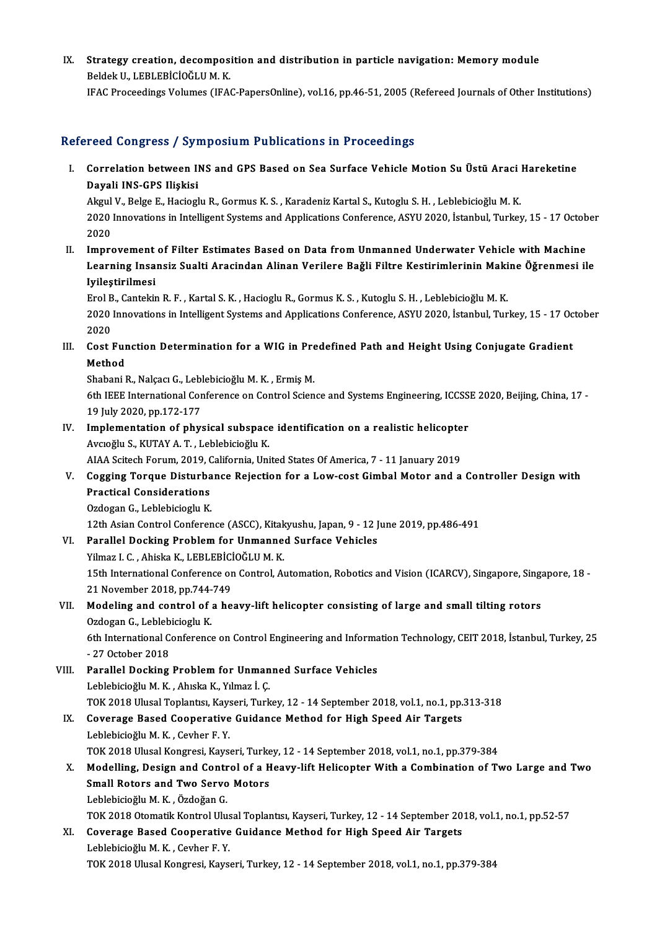IX. Strategy creation, decomposition and distribution in particle navigation: Memory module BeldekU.,LEBLEBİCİOĞLUM.K.

IFAC Proceedings Volumes (IFAC-PapersOnline), vol.16, pp.46-51, 2005 (Refereed Journals of Other Institutions)

#### Refereed Congress / Symposium Publications in Proceedings

efereed Congress / Symposium Publications in Proceedings<br>I. Correlation between INS and GPS Based on Sea Surface Vehicle Motion Su Üstü Araci Hareketine<br>Ravali INS CPS Hiskisi Noon dongress yey<br>Correlation between II<br>Dayali INS-GPS Ilişkisi<br>Akml V. Beke E. Heciacl Correlation between INS and GPS Based on Sea Surface Vehicle Motion Su Üstü Araci |<br>Dayali INS-GPS Ilişkisi<br>Akgul V., Belge E., Hacioglu R., Gormus K. S. , Karadeniz Kartal S., Kutoglu S. H. , Leblebicioğlu M. K.<br>2020 Inno

Dayali INS-GPS Ilişkisi<br>Akgul V., Belge E., Hacioglu R., Gormus K. S. , Karadeniz Kartal S., Kutoglu S. H. , Leblebicioğlu M. K.<br>2020 Innovations in Intelligent Systems and Applications Conference, ASYU 2020, İstanbul, Tur Akgul<br>2020<br>2020<br>Impre 2020 Innovations in Intelligent Systems and Applications Conference, ASYU 2020, Istanbul, Turkey, 15 - 17 Octob<br>2020<br>II. Improvement of Filter Estimates Based on Data from Unmanned Underwater Vehicle with Machine<br>1. Improv

2020<br>Improvement of Filter Estimates Based on Data from Unmanned Underwater Vehicle with Machine<br>Learning Insansiz Sualti Aracindan Alinan Verilere Bağli Filtre Kestirimlerinin Makine Öğrenmesi ile<br>Ivilestinilmesi Improvement<br>Learning Insa<br>Iyileştirilmesi<br>Erol B. Cartekit Learning Insansiz Sualti Aracindan Alinan Verilere Bağli Filtre Kestirimlerinin Makine Öğrenmesi ile<br>Iyileştirilmesi<br>Erol B., Cantekin R. F. , Kartal S. K. , Hacioglu R., Gormus K. S. , Kutoglu S. H. , Leblebicioğlu M. K.

I**yileştirilmesi**<br>Erol B., Cantekin R. F. , Kartal S. K. , Hacioglu R., Gormus K. S. , Kutoglu S. H. , Leblebicioğlu M. K.<br>2020 Innovations in Intelligent Systems and Applications Conference, ASYU 2020, İstanbul, Turkey, 1 Erol B<br>2020<br>2020<br>*Cos*t l 2020 Innovations in Intelligent Systems and Applications Conference, ASYU 2020, İstanbul, Turkey, 15 - 17 Oc<br>2020<br>III. Cost Function Determination for a WIG in Predefined Path and Height Using Conjugate Gradient<br>Method

2020<br>III. Cost Function Determination for a WIG in Predefined Path and Height Using Conjugate Gradient<br>Method Cost Function Determination for a WIG in Pre<br>Method<br>Shabani R., Nalçacı G., Leblebicioğlu M. K. , Ermiş M.<br>6th IEEE International Conference en Centrel Scien

6th IEEE International Conference on Control Science and Systems Engineering, ICCSSE 2020, Beijing, China, 17 -<br>19 July 2020, pp.172-177 Shabani R., Nalçacı G., Lebl<br>6th IEEE International Cor<br>19 July 2020, pp.172-177<br>Implementation of nhu 6th IEEE International Conference on Control Science and Systems Engineering, ICCSS<br>19 July 2020, pp.172-177<br>IV. Implementation of physical subspace identification on a realistic helicopter<br>Avgodly S. KUTAY A.T. Johlabigio

- 19 July 2020, pp.172-177<br>Implementation of physical subspace<br>Avcıoğlu S., KUTAY A. T. , Leblebicioğlu K.<br>AJAA Seitech Forum 2019, Celifornia Uni Implementation of physical subspace identification on a realistic helicopte<br>Avcıoğlu S., KUTAY A. T. , Leblebicioğlu K.<br>AIAA Scitech Forum, 2019, California, United States Of America, 7 - 11 January 2019<br>Cogging Torque Dis
- Avcıoğlu S., KUTAY A. T. , Leblebicioğlu K.<br>AIAA Scitech Forum, 2019, California, United States Of America, 7 11 January 2019<br>V. Cogging Torque Disturbance Rejection for a Low-cost Gimbal Motor and a Controller Desig AIAA Scitech Forum, 2019, C<br>Cogging Torque Disturba<br>Practical Considerations<br>Ordegan C. Lablabisiegly K Cogging Torque Disturba<br>Practical Considerations<br>Ozdogan G., Leblebicioglu K.<br>12th Asian Control Conferen Practical Considerations<br>Ozdogan G., Leblebicioglu K.<br>12th Asian Control Conference (ASCC), Kitakyushu, Japan, 9 - 12 June 2019, pp.486-491<br>Parallel Deskins Problem for Unmanned Surface Vebisles.

- Ozdogan G., Leblebicioglu K.<br>12th Asian Control Conference (ASCC), Kitakyushu, Japan, 9 12 J<br>VI. Parallel Docking Problem for Unmanned Surface Vehicles<br>Vilmer J. C. Abielte K. J. ERL ERICIOČI JJ. M. K. 12th Asian Control Conference (ASCC), Kitak<br>Parallel Docking Problem for Unmanne<br>Yilmaz I. C., Ahiska K., LEBLEBİCİOĞLUM.K. Parallel Docking Problem for Unmanned Surface Vehicles<br>Yilmaz I. C. , Ahiska K., LEBLEBİCİOĞLU M. K.<br>15th International Conference on Control, Automation, Robotics and Vision (ICARCV), Singapore, Singapore, 18 -<br>21 Nevembe Yilmaz I. C., Ahiska K., LEBLEBIC<br>15th International Conference or<br>21 November 2018, pp.744-749 15th International Conference on Control, Automation, Robotics and Vision (ICARCV), Singapore, Sing.<br>21 November 2018, pp.744-749<br>VII. Modeling and control of a heavy-lift helicopter consisting of large and small tilting r
- 21 November 2018, pp.744-<br>Modeling and control of<br>Ozdogan G., Leblebicioglu K.<br>Eth International Conference 6th International Conference on Control Engineering and Information Technology, CEIT 2018, İstanbul, Turkey, 25<br>- 27 October 2018 Ozdogan G., Leblebicioglu K.
- 6th International Conference on Control Engineering and Informa<br>- 27 October 2018<br>VIII. Parallel Docking Problem for Unmanned Surface Vehicles<br>- Loblebision M. K., Abrey V. Vilman L.C. - 27 October 2018<br>Parallel Docking Problem for Unman<br>Leblebicioğlu M. K. , Ahıska K., Yılmaz İ. Ç.<br>TOK 2019 Ulusel Teplantev Kavseri Turk Parallel Docking Problem for Unmanned Surface Vehicles<br>Leblebicioğlu M. K., Ahıska K., Yılmaz İ. Ç.<br>TOK 2018 Ulusal Toplantısı, Kayseri, Turkey, 12 - 14 September 2018, vol.1, no.1, pp.313-318<br>Coverage Based Cooperative Cu
- Leblebicioğlu M. K., Ahıska K., Yılmaz İ. Ç.<br>TOK 2018 Ulusal Toplantısı, Kayseri, Turkey, 12 14 September 2018, vol.1, no.1, pp.<br>IX. Coverage Based Cooperative Guidance Method for High Speed Air Targets<br>Leblebicioğlu M. TOK 2018 Ulusal Toplantısı, Kays<br>Coverage Based Cooperative<br>Leblebicioğlu M. K. , Cevher F. Y.<br>TOK 2019 Ulusal Kongresi, Kays Coverage Based Cooperative Guidance Method for High Speed Air Targets<br>Leblebicioğlu M. K. , Cevher F. Y.<br>TOK 2018 Ulusal Kongresi, Kayseri, Turkey, 12 - 14 September 2018, vol.1, no.1, pp.379-384<br>Medelling, Design and Cent Leblebicioğlu M. K. , Cevher F. Y.<br>TOK 2018 Ulusal Kongresi, Kayseri, Turkey, 12 - 14 September 2018, vol.1, no.1, pp.379-384<br>X. Modelling, Design and Control of a Heavy-lift Helicopter With a Combination of Two Large and
- TOK 2018 Ulusal Kongresi, Kayseri, Turke<br>Modelling, Design and Control of a H<br>Small Rotors and Two Servo Motors<br>Leblabisieğlu M. K., Özdeğan C Modelling, Design and Contr<br>Small Rotors and Two Servo<br>Leblebicioğlu M. K. , Özdoğan G.<br>TOV 2019 Otematik Kentrel Ulu Small Rotors and Two Servo Motors<br>Leblebicioğlu M. K. , Özdoğan G.<br>TOK 2018 Otomatik Kontrol Ulusal Toplantısı, Kayseri, Turkey, 12 - 14 September 2018, vol.1, no.1, pp.52-57
- Leblebicioğlu M. K. , Özdoğan G.<br>TOK 2018 Otomatik Kontrol Ulusal Toplantısı, Kayseri, Turkey, 12 14 September 20<br>XI. Coverage Based Cooperative Guidance Method for High Speed Air Targets TOK 2018 Otomatik Kontrol Ulus<br>Coverage Based Cooperative<br>Leblebicioğlu M. K. , Cevher F. Y.<br>TOK 2019 Ulusel Kongresi, Kava Leblebicioğlu M. K. , Cevher F. Y.<br>TOK 2018 Ulusal Kongresi, Kayseri, Turkey, 12 - 14 September 2018, vol.1, no.1, pp.379-384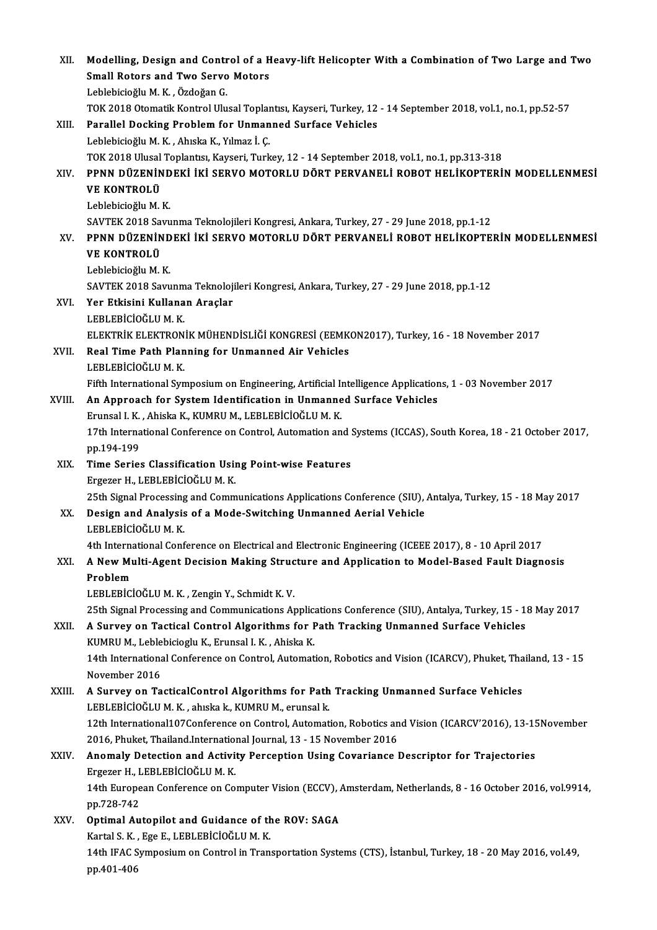| XII.   | Modelling, Design and Control of a Heavy-lift Helicopter With a Combination of Two Large and Two                                                              |
|--------|---------------------------------------------------------------------------------------------------------------------------------------------------------------|
|        | <b>Small Rotors and Two Servo Motors</b>                                                                                                                      |
|        | Leblebicioğlu M. K., Özdoğan G.                                                                                                                               |
|        | TOK 2018 Otomatik Kontrol Ulusal Toplantisi, Kayseri, Turkey, 12 - 14 September 2018, vol.1, no.1, pp.52-57                                                   |
| XIII.  | Parallel Docking Problem for Unmanned Surface Vehicles                                                                                                        |
|        | Leblebicioğlu M. K., Ahıska K., Yılmaz İ. Ç.                                                                                                                  |
|        | TOK 2018 Ulusal Toplantısı, Kayseri, Turkey, 12 - 14 September 2018, vol.1, no.1, pp.313-318                                                                  |
| XIV.   | PPNN DÜZENİNDEKİ İKİ SERVO MOTORLU DÖRT PERVANELİ ROBOT HELİKOPTERİN MODELLENMESİ                                                                             |
|        | <b>VE KONTROLÜ</b>                                                                                                                                            |
|        | Leblebicioğlu M K                                                                                                                                             |
|        | SAVTEK 2018 Savunma Teknolojileri Kongresi, Ankara, Turkey, 27 - 29 June 2018, pp.1-12                                                                        |
| XV.    | PPNN DÜZENİNDEKİ İKİ SERVO MOTORLU DÖRT PERVANELİ ROBOT HELİKOPTERİN MODELLENMESİ                                                                             |
|        | <b>VE KONTROLÜ</b>                                                                                                                                            |
|        | Leblebicioğlu M K                                                                                                                                             |
|        | SAVTEK 2018 Savunma Teknolojileri Kongresi, Ankara, Turkey, 27 - 29 June 2018, pp.1-12                                                                        |
| XVI.   | Yer Etkisini Kullanan Araçlar<br>LEBLEBICIOĞLU M. K.                                                                                                          |
|        | ELEKTRİK ELEKTRONİK MÜHENDİSLİĞİ KONGRESİ (EEMKON2017), Turkey, 16 - 18 November 2017                                                                         |
| XVII.  | Real Time Path Planning for Unmanned Air Vehicles                                                                                                             |
|        | LEBLEBICIOĞLU M.K.                                                                                                                                            |
|        | Fifth International Symposium on Engineering, Artificial Intelligence Applications, 1 - 03 November 2017                                                      |
| XVIII. | An Approach for System Identification in Unmanned Surface Vehicles                                                                                            |
|        | Erunsal I. K., Ahiska K., KUMRU M., LEBLEBİCİOĞLU M. K.                                                                                                       |
|        | 17th International Conference on Control, Automation and Systems (ICCAS), South Korea, 18 - 21 October 2017,                                                  |
|        | pp 194-199                                                                                                                                                    |
| XIX.   | Time Series Classification Using Point-wise Features                                                                                                          |
|        | Ergezer H., LEBLEBİCİOĞLU M. K.                                                                                                                               |
|        | 25th Signal Processing and Communications Applications Conference (SIU), Antalya, Turkey, 15 - 18 May 2017                                                    |
| XX.    | Design and Analysis of a Mode-Switching Unmanned Aerial Vehicle                                                                                               |
|        | LEBLEBICIOĞLU M.K.                                                                                                                                            |
|        | 4th International Conference on Electrical and Electronic Engineering (ICEEE 2017), 8 - 10 April 2017                                                         |
| XXI.   | A New Multi-Agent Decision Making Structure and Application to Model-Based Fault Diagnosis                                                                    |
|        | Problem                                                                                                                                                       |
|        | LEBLEBİCİOĞLU M. K., Zengin Y., Schmidt K. V.                                                                                                                 |
|        | 25th Signal Processing and Communications Applications Conference (SIU), Antalya, Turkey, 15 - 18 May 2017                                                    |
| XXII.  | A Survey on Tactical Control Algorithms for Path Tracking Unmanned Surface Vehicles                                                                           |
|        | KUMRU M., Leblebicioglu K., Erunsal I. K., Ahiska K.                                                                                                          |
|        | 14th International Conference on Control, Automation, Robotics and Vision (ICARCV), Phuket, Thailand, 13 - 15                                                 |
|        | November 2016                                                                                                                                                 |
| XXIII. | A Survey on TacticalControl Algorithms for Path Tracking Unmanned Surface Vehicles                                                                            |
|        | LEBLEBİCİOĞLU M. K., ahıska k., KUMRU M., erunsal k.                                                                                                          |
|        | 12th International107Conference on Control, Automation, Robotics and Vision (ICARCV'2016), 13-15November                                                      |
| XXIV.  | 2016, Phuket, Thailand International Journal, 13 - 15 November 2016<br>Anomaly Detection and Activity Perception Using Covariance Descriptor for Trajectories |
|        | Ergezer H., LEBLEBİCİOĞLU M. K.                                                                                                                               |
|        | 14th European Conference on Computer Vision (ECCV), Amsterdam, Netherlands, 8 - 16 October 2016, vol.9914,                                                    |
|        | pp 728-742                                                                                                                                                    |
| XXV.   | Optimal Autopilot and Guidance of the ROV: SAGA                                                                                                               |
|        | Kartal S. K., Ege E., LEBLEBICIOĞLU M. K.                                                                                                                     |
|        | 14th IFAC Symposium on Control in Transportation Systems (CTS), İstanbul, Turkey, 18 - 20 May 2016, vol.49,                                                   |
|        | pp 401-406                                                                                                                                                    |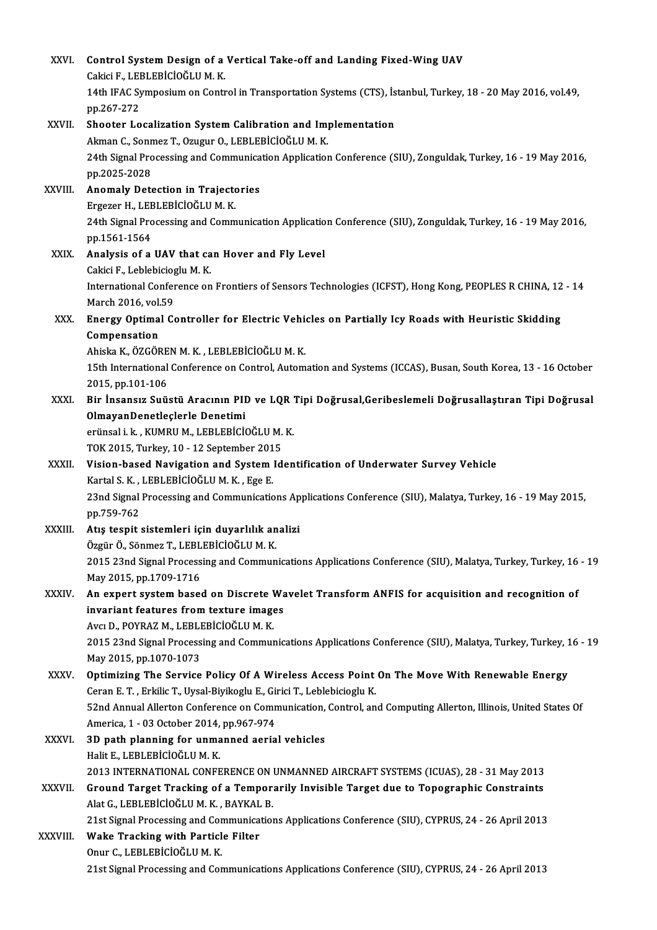| XXVI.        | Control System Design of a Vertical Take-off and Landing Fixed-Wing UAV                                        |
|--------------|----------------------------------------------------------------------------------------------------------------|
|              | Cakici F., LEBLEBİCİOĞLU M. K.                                                                                 |
|              | 14th IFAC Symposium on Control in Transportation Systems (CTS), İstanbul, Turkey, 18 - 20 May 2016, vol.49,    |
|              | pp 267-272                                                                                                     |
| XXVII.       | Shooter Localization System Calibration and Implementation                                                     |
|              | Akman C., Sonmez T., Ozugur O., LEBLEBİCİOĞLU M. K.                                                            |
|              | 24th Signal Processing and Communication Application Conference (SIU), Zonguldak, Turkey, 16 - 19 May 2016,    |
|              | pp 2025-2028                                                                                                   |
| XXVIII.      | Anomaly Detection in Trajectories                                                                              |
|              | Ergezer H., LEBLEBİCİOĞLU M. K.                                                                                |
|              | 24th Signal Processing and Communication Application Conference (SIU), Zonguldak, Turkey, 16 - 19 May 2016,    |
|              | pp 1561-1564                                                                                                   |
| XXIX.        | Analysis of a UAV that can Hover and Fly Level                                                                 |
|              | Cakici F., Leblebicioglu M. K.                                                                                 |
|              | International Conference on Frontiers of Sensors Technologies (ICFST), Hong Kong, PEOPLES R CHINA, 12 - 14     |
|              | March 2016, vol.59                                                                                             |
| XXX.         | Energy Optimal Controller for Electric Vehicles on Partially Icy Roads with Heuristic Skidding                 |
|              | Compensation                                                                                                   |
|              | Ahiska K., ÖZGÖREN M. K., LEBLEBİCİOĞLU M. K.                                                                  |
|              | 15th International Conference on Control, Automation and Systems (ICCAS), Busan, South Korea, 13 - 16 October  |
|              | 2015, pp 101-106                                                                                               |
| XXXI.        | Bir İnsansız Suüstü Aracının PID ve LQR Tipi Doğrusal, Geribeslemeli Doğrusallaştıran Tipi Doğrusal            |
|              | OlmayanDenetleçlerle Denetimi                                                                                  |
|              | erünsal i. k., KUMRU M., LEBLEBİCİOĞLU M. K.                                                                   |
|              | TOK 2015, Turkey, 10 - 12 September 2015                                                                       |
| XXXII.       | Vision-based Navigation and System Identification of Underwater Survey Vehicle                                 |
|              | Kartal S. K., LEBLEBİCİOĞLU M. K., Ege E.                                                                      |
|              | 23nd Signal Processing and Communications Applications Conference (SIU), Malatya, Turkey, 16 - 19 May 2015,    |
|              | pp. 759-762                                                                                                    |
| XXXIII.      | Atış tespit sistemleri için duyarlılık analizi                                                                 |
|              | Özgür Ö., Sönmez T., LEBLEBİCİOĞLU M. K.                                                                       |
|              | 2015 23nd Signal Processing and Communications Applications Conference (SIU), Malatya, Turkey, Turkey, 16 - 19 |
|              | May 2015, pp 1709-1716                                                                                         |
| XXXIV.       | An expert system based on Discrete Wavelet Transform ANFIS for acquisition and recognition of                  |
|              | invariant features from texture images                                                                         |
|              | Avcı D., POYRAZ M., LEBLEBİCİOĞLU M. K.                                                                        |
|              | 2015 23nd Signal Processing and Communications Applications Conference (SIU), Malatya, Turkey, Turkey, 16 - 19 |
|              | May 2015, pp 1070-1073                                                                                         |
| XXXV.        | Optimizing The Service Policy Of A Wireless Access Point On The Move With Renewable Energy                     |
|              | Ceran E. T., Erkilic T., Uysal-Biyikoglu E., Girici T., Leblebicioglu K.                                       |
|              | 52nd Annual Allerton Conference on Communication, Control, and Computing Allerton, Illinois, United States Of  |
|              | America, 1 - 03 October 2014, pp 967-974                                                                       |
| <b>XXXVI</b> | 3D path planning for unmanned aerial vehicles                                                                  |
|              | Halit E., LEBLEBİCİOĞLU M. K.                                                                                  |
|              | 2013 INTERNATIONAL CONFERENCE ON UNMANNED AIRCRAFT SYSTEMS (ICUAS), 28 - 31 May 2013                           |
| XXXVII.      | Ground Target Tracking of a Temporarily Invisible Target due to Topographic Constraints                        |
|              | Alat G., LEBLEBICIOĞLU M. K., BAYKAL B.                                                                        |
|              | 21st Signal Processing and Communications Applications Conference (SIU), CYPRUS, 24 - 26 April 2013            |
| XXXVIII.     | Wake Tracking with Particle Filter                                                                             |
|              | Onur C., LEBLEBICIOĞLU M. K.                                                                                   |
|              | 21st Signal Processing and Communications Applications Conference (SIU), CYPRUS, 24 - 26 April 2013            |
|              |                                                                                                                |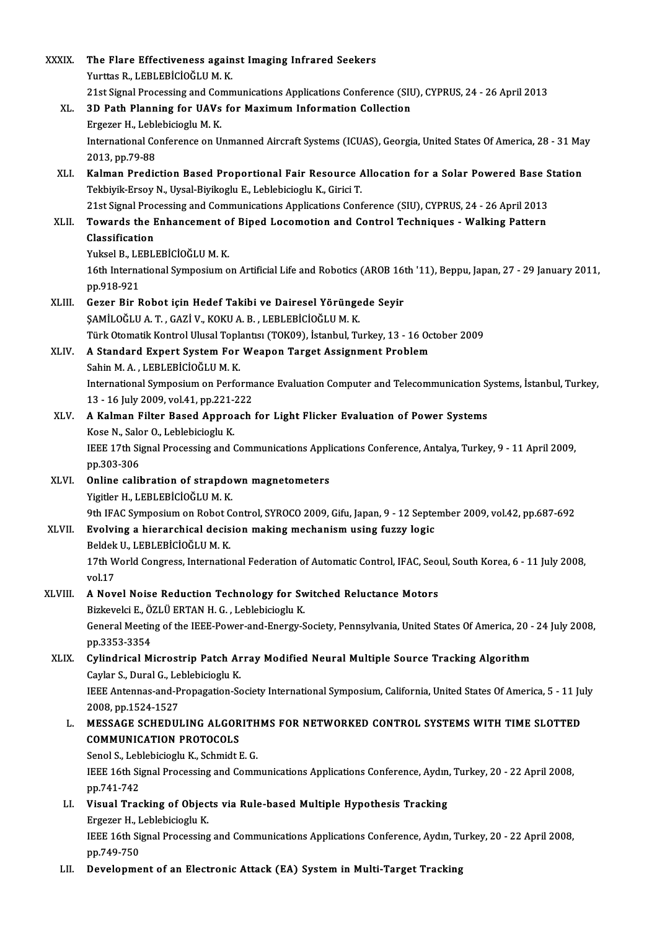| <b>XXXIX</b> | The Flare Effectiveness against Imaging Infrared Seekers                                                          |
|--------------|-------------------------------------------------------------------------------------------------------------------|
|              | Yurttas R., LEBLEBİCİOĞLU M. K.                                                                                   |
|              | 21st Signal Processing and Communications Applications Conference (SIU), CYPRUS, 24 - 26 April 2013               |
| XL.          | 3D Path Planning for UAVs for Maximum Information Collection                                                      |
|              | Ergezer H., Leblebicioglu M. K.                                                                                   |
|              | International Conference on Unmanned Aircraft Systems (ICUAS), Georgia, United States Of America, 28 - 31 May     |
|              | 2013, pp 79-88                                                                                                    |
| XLI.         | Kalman Prediction Based Proportional Fair Resource Allocation for a Solar Powered Base Station                    |
|              | Tekbiyik-Ersoy N., Uysal-Biyikoglu E., Leblebicioglu K., Girici T.                                                |
|              | 21st Signal Processing and Communications Applications Conference (SIU), CYPRUS, 24 - 26 April 2013               |
| XLII.        | Towards the Enhancement of Biped Locomotion and Control Techniques - Walking Pattern                              |
|              | Classification                                                                                                    |
|              | Yuksel B., LEBLEBİCİOĞLU M. K.                                                                                    |
|              | 16th International Symposium on Artificial Life and Robotics (AROB 16th '11), Beppu, Japan, 27 - 29 January 2011, |
|              | pp 918-921                                                                                                        |
| XLIII.       | Gezer Bir Robot için Hedef Takibi ve Dairesel Yörüngede Seyir                                                     |
|              | ŞAMİLOĞLU A. T., GAZİ V., KOKU A. B., LEBLEBİCİOĞLU M. K.                                                         |
|              | Türk Otomatik Kontrol Ulusal Toplantısı (TOK09), İstanbul, Turkey, 13 - 16 October 2009                           |
| XLIV.        | A Standard Expert System For Weapon Target Assignment Problem                                                     |
|              | Sahin M. A., LEBLEBİCİOĞLU M. K.                                                                                  |
|              | International Symposium on Performance Evaluation Computer and Telecommunication Systems, İstanbul, Turkey,       |
|              | 13 - 16 July 2009, vol 41, pp.221-222                                                                             |
| XLV.         | A Kalman Filter Based Approach for Light Flicker Evaluation of Power Systems                                      |
|              | Kose N., Salor O., Leblebicioglu K.                                                                               |
|              | IEEE 17th Signal Processing and Communications Applications Conference, Antalya, Turkey, 9 - 11 April 2009,       |
|              | pp 303-306                                                                                                        |
| XLVI.        | Online calibration of strapdown magnetometers                                                                     |
|              | Yigitler H., LEBLEBİCİOĞLU M. K.                                                                                  |
|              | 9th IFAC Symposium on Robot Control, SYROCO 2009, Gifu, Japan, 9 - 12 September 2009, vol.42, pp.687-692          |
| <b>XLVII</b> | Evolving a hierarchical decision making mechanism using fuzzy logic                                               |
|              | Beldek U., LEBLEBİCİOĞLU M. K.                                                                                    |
|              | 17th World Congress, International Federation of Automatic Control, IFAC, Seoul, South Korea, 6 - 11 July 2008,   |
|              | vol.17                                                                                                            |
| XLVIII.      | A Novel Noise Reduction Technology for Switched Reluctance Motors                                                 |
|              | Bizkevelci E., ÖZLÜ ERTAN H. G., Leblebicioglu K.                                                                 |
|              | General Meeting of the IEEE-Power-and-Energy-Society, Pennsylvania, United States Of America, 20 - 24 July 2008,  |
|              | pp 3353-3354                                                                                                      |
| XLIX.        | Cylindrical Microstrip Patch Array Modified Neural Multiple Source Tracking Algorithm                             |
|              | Caylar S., Dural G., Leblebicioglu K.                                                                             |
|              | IEEE Antennas-and-Propagation-Society International Symposium, California, United States Of America, 5 - 11 July  |
|              | 2008, pp 1524-1527                                                                                                |
| L.           | MESSAGE SCHEDULING ALGORITHMS FOR NETWORKED CONTROL SYSTEMS WITH TIME SLOTTED                                     |
|              | <b>COMMUNICATION PROTOCOLS</b>                                                                                    |
|              | Senol S., Leblebicioglu K., Schmidt E. G.                                                                         |
|              | IEEE 16th Signal Processing and Communications Applications Conference, Aydın, Turkey, 20 - 22 April 2008,        |
|              | pp 741-742                                                                                                        |
| LI.          | Visual Tracking of Objects via Rule-based Multiple Hypothesis Tracking                                            |
|              | Ergezer H., Leblebicioglu K.                                                                                      |
|              | IEEE 16th Signal Processing and Communications Applications Conference, Aydın, Turkey, 20 - 22 April 2008,        |
|              | pp 749-750                                                                                                        |
| LII.         | Development of an Electronic Attack (EA) System in Multi-Target Tracking                                          |
|              |                                                                                                                   |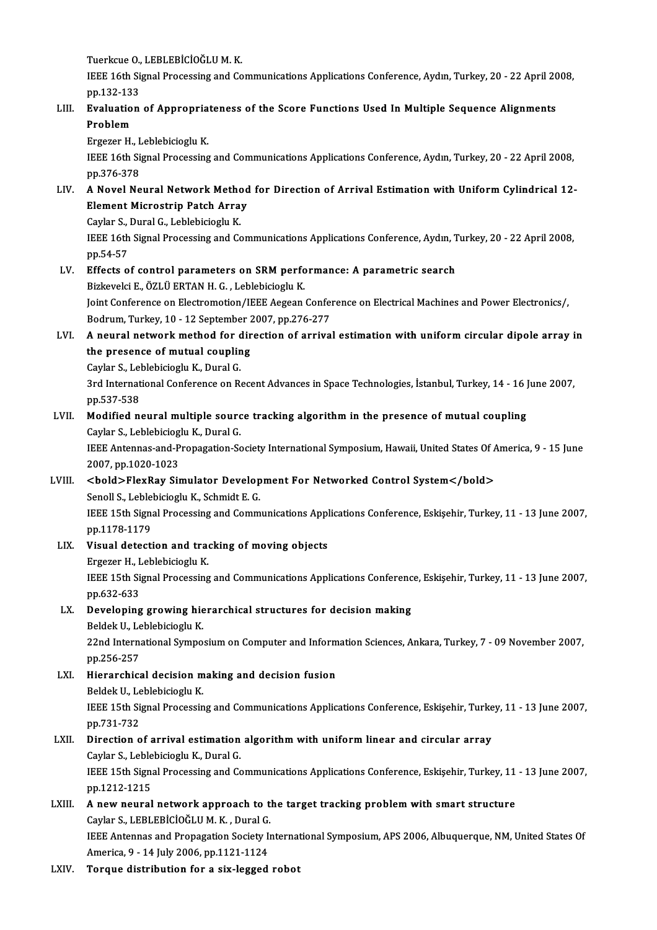Tuerkcue O., LEBLEBİCİOĞLU M. K.<br>Tuerkcue O., LEBLEBİCİOĞLU M. K.<br>JEEE 16th Signal Processing and Co

IEEE 16th Signal Processing and Communications Applications Conference, Aydın, Turkey, 20 - 22 April 2008, pp.132-133 Tuerkcue O.,<br>IEEE 16th Si<br>pp.132-133<br>Eveluation IEEE 16th Signal Processing and Communications Applications Conference, Aydın, Turkey, 20 - 22 April 20<br>pp.132-133<br>LIII. Evaluation of Appropriateness of the Score Functions Used In Multiple Sequence Alignments

# pp.132-13:<br><mark>Evaluatio</mark><br>Problem<br>Ergozor H Evaluation of Appropria<br>Problem<br>Ergezer H., Leblebicioglu K.<br>IEEE 16th Signal Processing

Problem<br>Ergezer H., Leblebicioglu K.<br>IEEE 16th Signal Processing and Communications Applications Conference, Aydın, Turkey, 20 - 22 April 2008,<br>nn 376 379 Ergezer H., I<br>IEEE 16th Si<br>pp.376-378<br>A Novel No

### pp.376-378<br>LIV. A Novel Neural Network Method for Direction of Arrival Estimation with Uniform Cylindrical 12pp.376-378<br>A Novel Neural Network Method<br>Element Microstrip Patch Array<br>Caylar S. Dural C. Lablabisiaglu K A Novel Neural Network Metho<br>Element Microstrip Patch Arra<br>Caylar S., Dural G., Leblebicioglu K.<br>IEEE 16th Signal Brosessing and Co

Caylar S., Dural G., Leblebicioglu K.<br>IEEE 16th Signal Processing and Communications Applications Conference, Aydın, Turkey, 20 - 22 April 2008, pp.54-57 IEEE 16th Signal Processing and Communications Applications Conference, Aydın, T<br>pp.54-57<br>LV. Effects of control parameters on SRM performance: A parametric search<br>Pickevelsi E. ÖZLÜ ERTAN H.C. Leblebisionus K

# pp.54-57<br>Effects of control parameters on SRM perfo<br>Bizkevelci E., ÖZLÜ ERTAN H. G. , Leblebicioglu K.<br>Jeint Conference on Flectrometion (JEEE Accean Effects of control parameters on SRM performance: A parametric search<br>Bizkevelci E., ÖZLÜ ERTAN H. G. , Leblebicioglu K.<br>Joint Conference on Electromotion/IEEE Aegean Conference on Electrical Machines and Power Electronics Bizkevelci E., ÖZLÜ ERTAN H. G. , Leblebicioglu K.<br>Joint Conference on Electromotion/IEEE Aegean Confer<br>Bodrum, Turkey, 10 - 12 September 2007, pp.276-277<br>A neuvel petusek method for dinastion of annive

### Bodrum, Turkey, 10 - 12 September 2007, pp.276-277<br>LVI. A neural network method for direction of arrival estimation with uniform circular dipole array in Bodrum, Turkey, 10 - 12 September 2<br>A neural network method for dir<br>the presence of mutual coupling A neural network method for c<br>the presence of mutual couplin<br>Caylar S., Leblebicioglu K., Dural G.<br>2nd International Conference on B.

Caylar S., Leblebicioglu K., Dural G.

3rd International Conference on Recent Advances in Space Technologies, İstanbul, Turkey, 14 - 16 June 2007, pp.537-538 3rd International Conference on Recent Advances in Space Technologies, İstanbul, Turkey, 14 - 16 J<br>pp.537-538<br>LVII. Modified neural multiple source tracking algorithm in the presence of mutual coupling<br>Caylar S. Lablabisio

## pp.537-538<br>Modified neural multiple sourc<br>Caylar S., Leblebicioglu K., Dural G.<br><sup>LEEE</sup> Antennes and Propagation Sc Caylar S., Leblebicioglu K., Dural G.

IEEE Antennas-and-Propagation-Society International Symposium, Hawaii, United States Of America, 9 - 15 June<br>2007, pp.1020-1023 IEEE Antennas-and-Propagation-Society International Symposium, Hawaii, United States Of A<br>2007, pp.1020-1023<br>LVIII. <br/>>bold>FlexRay Simulator Development For Networked Control System</bold>

# 2007, pp.1020-1023<br><bold>FlexRay Simulator Develop<br>Senoll S., Leblebicioglu K., Schmidt E. G.<br>IEEE 15th Signal Presessing and Comm

<bold>FlexRay Simulator Development For Networked Control System</bold><br>Senoll S., Leblebicioglu K., Schmidt E. G.<br>IEEE 15th Signal Processing and Communications Applications Conference, Eskişehir, Turkey, 11 - 13 June 200 Senoll S., Leble<br>IEEE 15th Sign:<br>pp.1178-1179<br>Wisual datasti

# pp.1178-1179<br>LIX. Visual detection and tracking of moving objects

Ergezer H., Leblebicioglu K.

Visual detection and tracking of moving objects<br>Ergezer H., Leblebicioglu K.<br>IEEE 15th Signal Processing and Communications Applications Conference, Eskişehir, Turkey, 11 - 13 June 2007,<br>nn 633,633 Ergezer H., I<br>IEEE 15th Si<br>pp.632-633<br>Develening IEEE 15th Signal Processing and Communications Applications Conferenc<br>pp.632-633<br>LX. Developing growing hierarchical structures for decision making<br>paldak II, Lablabisiagh: K

### pp.632-633<br>LX. Developing growing hierarchical structures for decision making Beldek U., Leblebicioglu K.

22nd International Symposium on Computer and Information Sciences, Ankara, Turkey, 7 - 09 November 2007, pp.256-257

### 22nd International Symposium on Computer and Inform<br>pp.256-257<br>LXI. Hierarchical decision making and decision fusion<br>Poldek U. Lobbbisionus pp.256-257<br>Hierarchical decision m<br>Beldek U., Leblebicioglu K.<br>IEEE 15th Signal Processin Hierarchical decision making and decision fusion<br>Beldek U., Leblebicioglu K.<br>IEEE 15th Signal Processing and Communications Applications Conference, Eskişehir, Turkey, 11 - 13 June 2007,<br>nn 731 732 Beldek U., Le<br>IEEE 15th Si<br>pp.731-732<br>Direction o IEEE 15th Signal Processing and Communications Applications Conference, Eskişehir, Turke<br>pp.731-732<br>LXII. Direction of arrival estimation algorithm with uniform linear and circular array<br>Carlor S. Loblobision: K. Dural C

# pp.731-732<br>LXII. Direction of arrival estimation algorithm with uniform linear and circular array<br>Caylar S., Leblebicioglu K., Dural G.

Direction of arrival estimation algorithm with uniform linear and circular array<br>Caylar S., Leblebicioglu K., Dural G.<br>IEEE 15th Signal Processing and Communications Applications Conference, Eskişehir, Turkey, 11 - 13 June Caylar S., Leble<br>IEEE 15th Sign:<br>pp.1212-1215 IEEE 15th Signal Processing and Communications Applications Conference, Eskişehir, Turkey, 11<br>pp.1212-1215<br>LXIII. A new neural network approach to the target tracking problem with smart structure<br>Carlor S. LEBLERICION U.M.

# pp.1212-1215<br>A new neural network approach to the<br>Caylar S., LEBLEBİCİOĞLUM.K. , Dural G.<br>JEEE Antonnes and Pronasstion Sosisty V Caylar S., LEBLEBİCİOĞLU M. K. , Dural G.<br>IEEE Antennas and Propagation Society International Symposium, APS 2006, Albuquerque, NM, United States Of

America, 9 - 14 July 2006, pp.1121-1124

#### LXIV. Torque distribution for a six-legged robot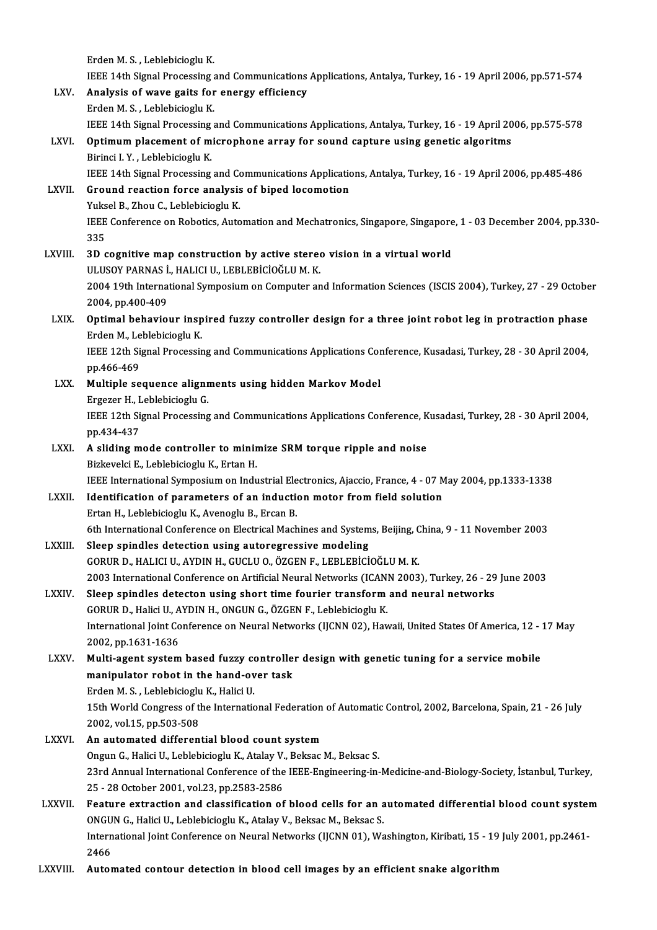ErdenM.S. ,LeblebiciogluK. IEEE 14th Signal Processing and Communications Applications, Antalya, Turkey, 16 - 19 April 2006, pp.571-574 LXV. Analysis of wave gaits for energy efficiency Erden M. S., Leblebicioglu K. IEEE 14th Signal Processing and Communications Applications, Antalya, Turkey, 16 - 19 April 2006, pp.575-578 LXVI. Optimum placement of microphone array for sound capture using genetic algoritms Birinci I.Y., Leblebicioglu K. Optimum placement of microphone array for sound capture using genetic algoritms<br>Birinci I. Y. , Leblebicioglu K.<br>IEEE 14th Signal Processing and Communications Applications, Antalya, Turkey, 16 - 19 April 2006, pp.485-486<br> Birinci I. Y., Leblebicioglu K.<br>IEEE 14th Signal Processing and Communications Application<br>LXVII. Ground reaction force analysis of biped locomotion<br>Virgel B. Zhou G. Leblebisionu K. IEEE 14th Signal Processing and Continuent Continuent System<br>The Section Core analysis<br>Yuksel B., Zhou C., Leblebicioglu K.<br>JEEE Conference on Pobotics, Auto Ground reaction force analysis of biped locomotion<br>Yuksel B., Zhou C., Leblebicioglu K.<br>IEEE Conference on Robotics, Automation and Mechatronics, Singapore, Singapore, 1 - 03 December 2004, pp.330-<br>225 Yuks<br>IEEE<br>335<br>2D.c IEEE Conference on Robotics, Automation and Mechatronics, Singapore, Singapore<br>335<br>LXVIII. 3D cognitive map construction by active stereo vision in a virtual world<br>III USOV BARMAS L HALICLU LEPLERICIOČLUM K 335<br>3D cognitive map construction by active stereo vision in a virtual world<br>ULUSOY PARNAS İ., HALICI U., LEBLEBİCİOĞLU M. K. 3D cognitive map construction by active stereo vision in a virtual world<br>ULUSOY PARNAS İ., HALICI U., LEBLEBİCİOĞLU M. K.<br>2004 19th International Symposium on Computer and Information Sciences (ISCIS 2004), Turkey, 27 - 29 ULUSOY PARNAS I.<br>2004 19th Interna<br>2004, pp.400-409<br>Ontimel behavio 2004 19th International Symposium on Computer and Information Sciences (ISCIS 2004), Turkey, 27 - 29 Octobe<br>2004, pp.400-409<br>LXIX. Optimal behaviour inspired fuzzy controller design for a three joint robot leg in protracti 2004, pp.400-409<br>Optimal behaviour inspired fuzzy controller design for a three joint robot leg in protraction phase<br>Erden M., Leblebicioglu K. Optimal behaviour inspired fuzzy controller design for a three joint robot leg in protraction phase<br>Erden M., Leblebicioglu K.<br>IEEE 12th Signal Processing and Communications Applications Conference, Kusadasi, Turkey, 28 - Erden M., Le<br>IEEE 12th Si<br>pp.466-469<br>Multinle ac IEEE 12th Signal Processing and Communications Applications Cor<br>pp.466-469<br>LXX. Multiple sequence alignments using hidden Markov Model pp.466-469<br>Multiple sequence alignr<br>Ergezer H., Leblebicioglu G.<br>IEEE 12th Signal Processing Multiple sequence alignments using hidden Markov Model<br>Ergezer H., Leblebicioglu G.<br>IEEE 12th Signal Processing and Communications Applications Conference, Kusadasi, Turkey, 28 - 30 April 2004,<br>nn 434 437 Ergezer H., I<br>IEEE 12th Si<br>pp.434-437<br>A sliding m IEEE 12th Signal Processing and Communications Applications Conference, K<br>pp.434-437<br>LXXI. A sliding mode controller to minimize SRM torque ripple and noise<br>Pickwoki E. J oblobisionly K. Exten H pp.434-437<br>A sliding mode controller to minimize SRM torque ripple and noise<br>Bizkevelci E., Leblebicioglu K., Ertan H. A sliding mode controller to minimize SRM torque ripple and noise<br>Bizkevelci E., Leblebicioglu K., Ertan H.<br>IEEE International Symposium on Industrial Electronics, Ajaccio, France, 4 - 07 May 2004, pp.1333-1338<br>Identificat Bizkevelci E., Leblebicioglu K., Ertan H.<br>IEEE International Symposium on Industrial Electronics, Ajaccio, France, 4 - 07 M<br>LXXII. Identification of parameters of an induction motor from field solution Identification of parameters of an induction motor from field solution<br>Ertan H., Leblebicioglu K., Avenoglu B., Ercan B. 6th International Conference on Electrical Machines and Systems, Beijing, China, 9 - 11 November 2003 LXXIII. Sleep spindles detection using autoregressive modeling GORURD.,HALICIU.,AYDINH.,GUCLUO.,ÖZGENF.,LEBLEBİCİOĞLUM.K. 2003 InternationalConference onArtificialNeuralNetworks (ICANN2003),Turkey,26 -29 June 2003 LXXIV. Sleep spindles detecton using short time fourier transformand neural networks 2003 International Conference on Artificial Neural Networks (ICAN)<br>Sleep spindles detecton using short time fourier transform<br>GORUR D., Halici U., AYDIN H., ONGUN G., ÖZGEN F., Leblebicioglu K.<br>International Joint Conferen International Joint Conference on Neural Networks (IJCNN 02), Hawaii, United States Of America, 12 - 17 May 2002, pp.1631-1636 60RUR D., Halici U., A<br>International Joint Co<br>2002, pp.1631-1636<br>Multi agent system International Joint Conference on Neural Networks (IJCNN 02), Hawaii, United States Of America, 12 - 2002, pp.1631-1636<br>LXXV. Multi-agent system based fuzzy controller design with genetic tuning for a service mobile<br>manipu 2002, pp.1631-1636<br>Multi-agent system based fuzzy controlle:<br>manipulator robot in the hand-over task Multi-agent system based fuzzy com<br>anipulator robot in the hand-ov<br>Erden M. S., Leblebicioglu K., Halici U.<br>15th World Congress of the Internatio manipulator robot in the hand-over task<br>Erden M. S. , Leblebicioglu K., Halici U.<br>15th World Congress of the International Federation of Automatic Control, 2002, Barcelona, Spain, 21 - 26 July<br>2002, vel 15, pp 502,508 Erden M. S. , Leblebicioglu K., Halici U.<br>15th World Congress of the International Federation<br>2002, vol.15, pp.503-508<br>An automated differential blood count system 15th World Congress of the International Federation<br>2002, vol.15, pp.503-508<br>LXXVI. An automated differential blood count system<br>2007 Pelici II, Leblebisiegh K, Atalay V, Pelices OngunG.,HaliciU.,LeblebiciogluK.,AtalayV.,BeksacM.,Beksac S. An automated differential blood count system<br>Ongun G., Halici U., Leblebicioglu K., Atalay V., Beksac M., Beksac S.<br>23rd Annual International Conference of the IEEE-Engineering-in-Medicine-and-Biology-Society, İstanbul, Tu Ongun G., Halici U., Leblebicioglu K., Atalay V.<br>23rd Annual International Conference of the<br>25 - 28 October 2001, vol.23, pp.2583-2586<br>Feature extraction and eleccification of 23rd Annual International Conference of the IEEE-Engineering-in-Medicine-and-Biology-Society, İstanbul, Turkey,<br>25 - 28 October 2001, vol.23, pp.2583-2586<br>LXXVII. Feature extraction and classification of blood cells for an 25 - 28 October 2001, vol.23, pp.2583-2586<br>Feature extraction and classification of blood cells for an a<br>ONGUN G., Halici U., Leblebicioglu K., Atalay V., Beksac M., Beksac S.<br>International Jeint Conference on Neural Netwo Feature extraction and classification of blood cells for an automated differential blood count syster<br>ONGUN G., Halici U., Leblebicioglu K., Atalay V., Beksac M., Beksac S.<br>International Joint Conference on Neural Networks ONGU<br>Intern<br>2466<br>Autor International Joint Conference on Neural Networks (IJCNN 01), Washington, Kiribati, 15 - 19 July 2001, pp.2461<br>2466<br>LXXVIII. Automated contour detection in blood cell images by an efficient snake algorithm